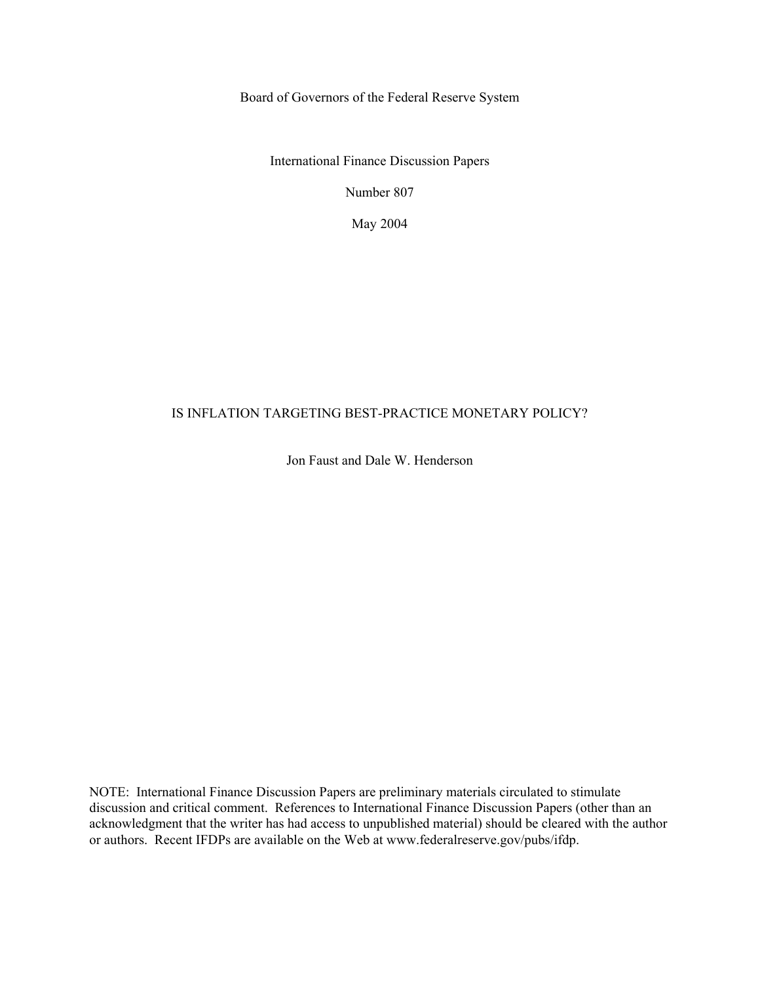Board of Governors of the Federal Reserve System

International Finance Discussion Papers

Number 807

May 2004

#### IS INFLATION TARGETING BEST-PRACTICE MONETARY POLICY?

Jon Faust and Dale W. Henderson

NOTE: International Finance Discussion Papers are preliminary materials circulated to stimulate discussion and critical comment. References to International Finance Discussion Papers (other than an acknowledgment that the writer has had access to unpublished material) should be cleared with the author or authors. Recent IFDPs are available on the Web at www.federalreserve.gov/pubs/ifdp.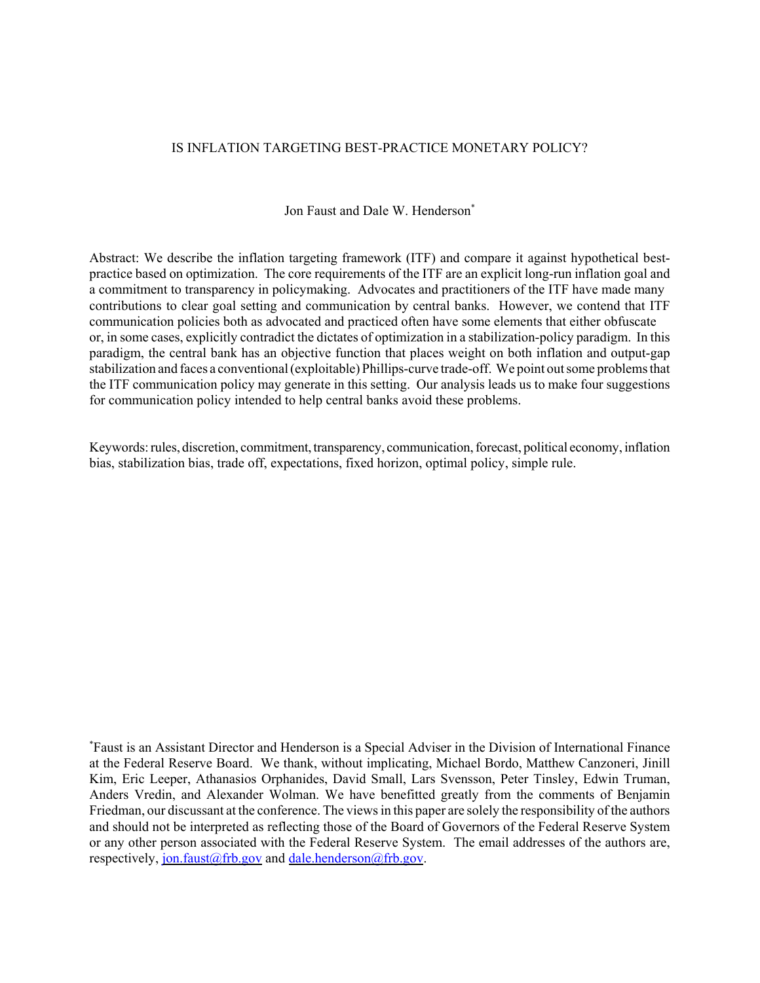#### IS INFLATION TARGETING BEST-PRACTICE MONETARY POLICY?

Jon Faust and Dale W. Henderson<sup>\*</sup>

Abstract: We describe the inflation targeting framework (ITF) and compare it against hypothetical bestpractice based on optimization. The core requirements of the ITF are an explicit long-run inflation goal and a commitment to transparency in policymaking. Advocates and practitioners of the ITF have made many contributions to clear goal setting and communication by central banks. However, we contend that ITF communication policies both as advocated and practiced often have some elements that either obfuscate or, in some cases, explicitly contradict the dictates of optimization in a stabilization-policy paradigm. In this paradigm, the central bank has an objective function that places weight on both inflation and output-gap stabilization and faces a conventional (exploitable) Phillips-curve trade-off. We point out some problems that the ITF communication policy may generate in this setting. Our analysis leads us to make four suggestions for communication policy intended to help central banks avoid these problems.

Keywords: rules, discretion, commitment, transparency, communication, forecast, political economy, inflation bias, stabilization bias, trade off, expectations, fixed horizon, optimal policy, simple rule.

\* Faust is an Assistant Director and Henderson is a Special Adviser in the Division of International Finance at the Federal Reserve Board. We thank, without implicating, Michael Bordo, Matthew Canzoneri, Jinill Kim, Eric Leeper, Athanasios Orphanides, David Small, Lars Svensson, Peter Tinsley, Edwin Truman, Anders Vredin, and Alexander Wolman. We have benefitted greatly from the comments of Benjamin Friedman, our discussant at the conference. The views in this paper are solely the responsibility of the authors and should not be interpreted as reflecting those of the Board of Governors of the Federal Reserve System or any other person associated with the Federal Reserve System. The email addresses of the authors are, respectively, jon.faust@frb.gov and dale.henderson@frb.gov.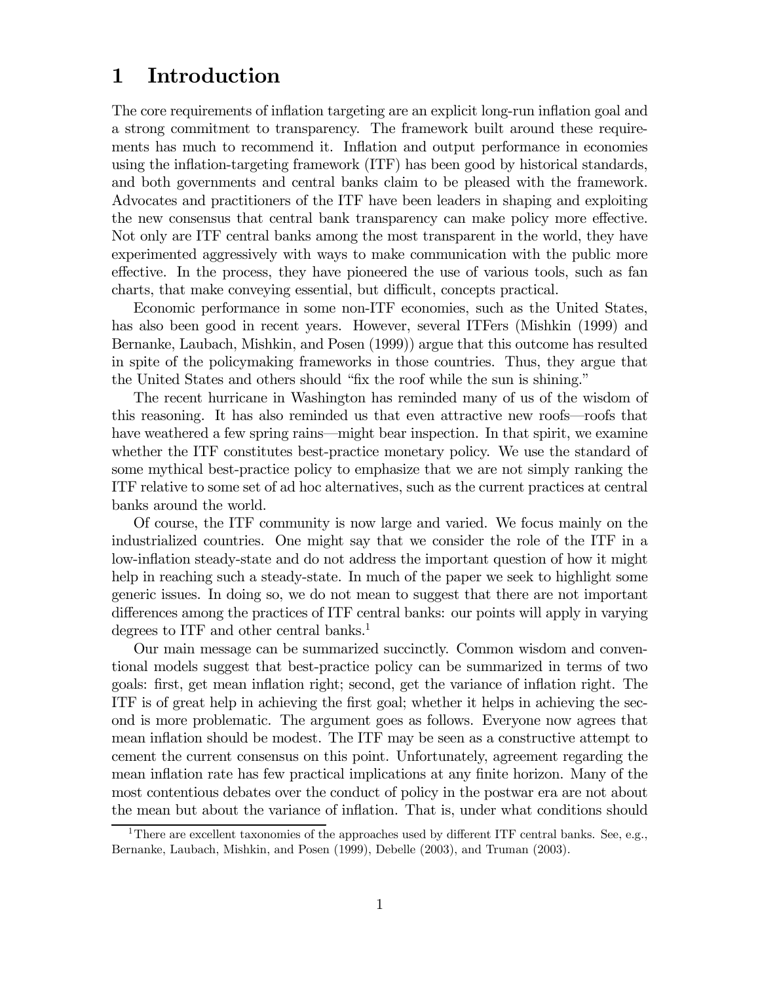# 1 Introduction

The core requirements of inflation targeting are an explicit long-run inflation goal and a strong commitment to transparency. The framework built around these requirements has much to recommend it. Inflation and output performance in economies using the inflation-targeting framework (ITF) has been good by historical standards, and both governments and central banks claim to be pleased with the framework. Advocates and practitioners of the ITF have been leaders in shaping and exploiting the new consensus that central bank transparency can make policy more effective. Not only are ITF central banks among the most transparent in the world, they have experimented aggressively with ways to make communication with the public more effective. In the process, they have pioneered the use of various tools, such as fan charts, that make conveying essential, but difficult, concepts practical.

Economic performance in some non-ITF economies, such as the United States, has also been good in recent years. However, several ITFers (Mishkin (1999) and Bernanke, Laubach, Mishkin, and Posen (1999)) argue that this outcome has resulted in spite of the policymaking frameworks in those countries. Thus, they argue that the United States and others should "fix the roof while the sun is shining."

The recent hurricane in Washington has reminded many of us of the wisdom of this reasoning. It has also reminded us that even attractive new roofs–roofs that have weathered a few spring rains—might bear inspection. In that spirit, we examine whether the ITF constitutes best-practice monetary policy. We use the standard of some mythical best-practice policy to emphasize that we are not simply ranking the ITF relative to some set of ad hoc alternatives, such as the current practices at central banks around the world.

Of course, the ITF community is now large and varied. We focus mainly on the industrialized countries. One might say that we consider the role of the ITF in a low-inflation steady-state and do not address the important question of how it might help in reaching such a steady-state. In much of the paper we seek to highlight some generic issues. In doing so, we do not mean to suggest that there are not important differences among the practices of ITF central banks: our points will apply in varying degrees to ITF and other central banks.<sup>1</sup>

Our main message can be summarized succinctly. Common wisdom and conventional models suggest that best-practice policy can be summarized in terms of two goals: first, get mean inflation right; second, get the variance of inflation right. The ITF is of great help in achieving the first goal; whether it helps in achieving the second is more problematic. The argument goes as follows. Everyone now agrees that mean inflation should be modest. The ITF may be seen as a constructive attempt to cement the current consensus on this point. Unfortunately, agreement regarding the mean inflation rate has few practical implications at any finite horizon. Many of the most contentious debates over the conduct of policy in the postwar era are not about the mean but about the variance of inflation. That is, under what conditions should

<sup>&</sup>lt;sup>1</sup>There are excellent taxonomies of the approaches used by different ITF central banks. See, e.g., Bernanke, Laubach, Mishkin, and Posen (1999), Debelle (2003), and Truman (2003).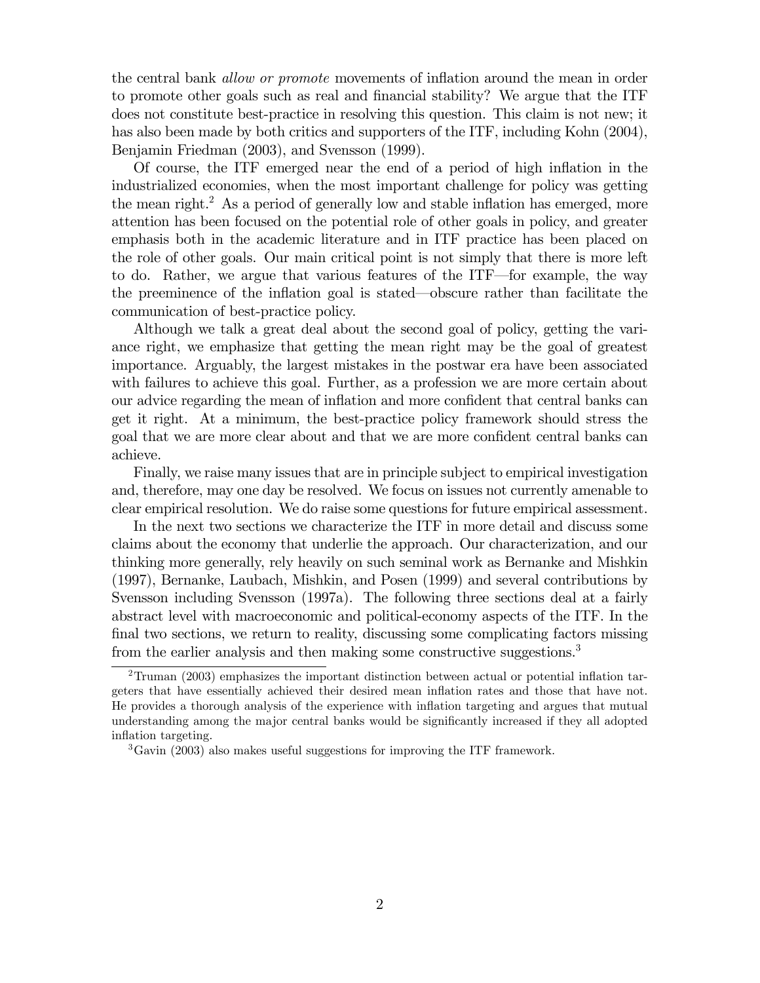the central bank allow or promote movements of inflation around the mean in order to promote other goals such as real and financial stability? We argue that the ITF does not constitute best-practice in resolving this question. This claim is not new; it has also been made by both critics and supporters of the ITF, including Kohn (2004), Benjamin Friedman (2003), and Svensson (1999).

Of course, the ITF emerged near the end of a period of high inflation in the industrialized economies, when the most important challenge for policy was getting the mean right.<sup>2</sup> As a period of generally low and stable inflation has emerged, more attention has been focused on the potential role of other goals in policy, and greater emphasis both in the academic literature and in ITF practice has been placed on the role of other goals. Our main critical point is not simply that there is more left to do. Rather, we argue that various features of the ITF–for example, the way the preeminence of the inflation goal is stated–obscure rather than facilitate the communication of best-practice policy.

Although we talk a great deal about the second goal of policy, getting the variance right, we emphasize that getting the mean right may be the goal of greatest importance. Arguably, the largest mistakes in the postwar era have been associated with failures to achieve this goal. Further, as a profession we are more certain about our advice regarding the mean of inflation and more confident that central banks can get it right. At a minimum, the best-practice policy framework should stress the goal that we are more clear about and that we are more confident central banks can achieve.

Finally, we raise many issues that are in principle subject to empirical investigation and, therefore, may one day be resolved. We focus on issues not currently amenable to clear empirical resolution. We do raise some questions for future empirical assessment.

In the next two sections we characterize the ITF in more detail and discuss some claims about the economy that underlie the approach. Our characterization, and our thinking more generally, rely heavily on such seminal work as Bernanke and Mishkin (1997), Bernanke, Laubach, Mishkin, and Posen (1999) and several contributions by Svensson including Svensson (1997a). The following three sections deal at a fairly abstract level with macroeconomic and political-economy aspects of the ITF. In the final two sections, we return to reality, discussing some complicating factors missing from the earlier analysis and then making some constructive suggestions.<sup>3</sup>

 $2$ Truman (2003) emphasizes the important distinction between actual or potential inflation targeters that have essentially achieved their desired mean inflation rates and those that have not. He provides a thorough analysis of the experience with inflation targeting and argues that mutual understanding among the major central banks would be significantly increased if they all adopted inflation targeting.

<sup>&</sup>lt;sup>3</sup>Gavin (2003) also makes useful suggestions for improving the ITF framework.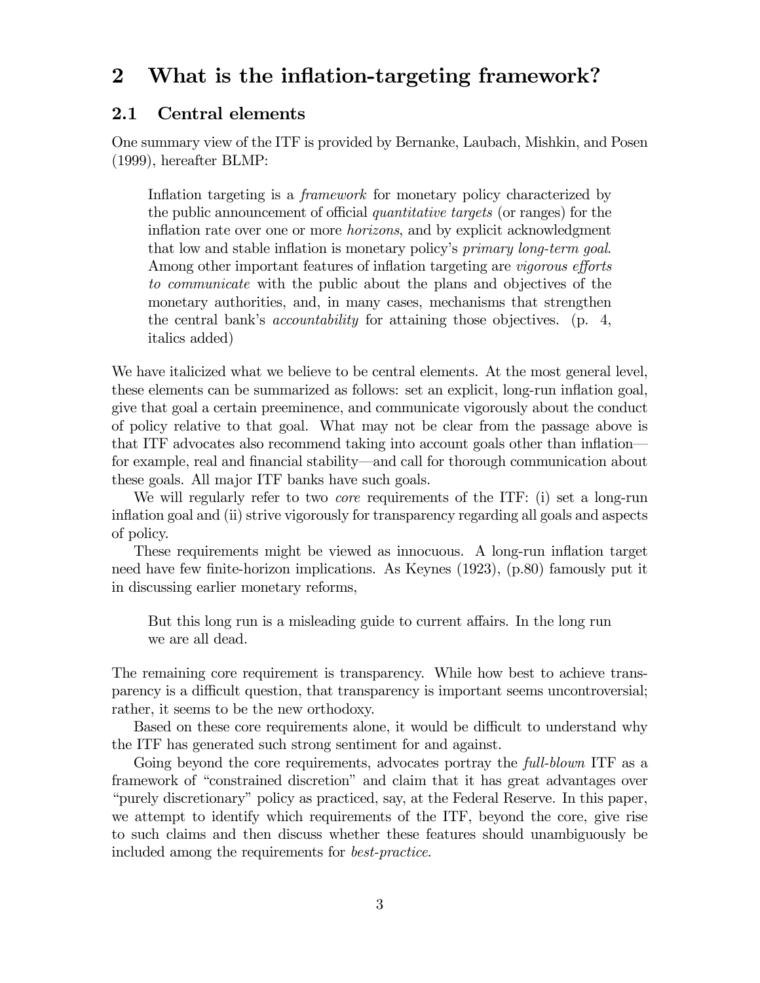# 2 What is the inflation-targeting framework?

## 2.1 Central elements

One summary view of the ITF is provided by Bernanke, Laubach, Mishkin, and Posen (1999), hereafter BLMP:

Inflation targeting is a *framework* for monetary policy characterized by the public announcement of official quantitative targets (or ranges) for the inflation rate over one or more horizons, and by explicit acknowledgment that low and stable inflation is monetary policy's primary long-term goal. Among other important features of inflation targeting are vigorous efforts to communicate with the public about the plans and objectives of the monetary authorities, and, in many cases, mechanisms that strengthen the central bank's accountability for attaining those objectives. (p. 4, italics added)

We have italicized what we believe to be central elements. At the most general level, these elements can be summarized as follows: set an explicit, long-run inflation goal, give that goal a certain preeminence, and communicate vigorously about the conduct of policy relative to that goal. What may not be clear from the passage above is that ITF advocates also recommend taking into account goals other than inflation– for example, real and financial stability–and call for thorough communication about these goals. All major ITF banks have such goals.

We will regularly refer to two *core* requirements of the ITF: (i) set a long-run inflation goal and (ii) strive vigorously for transparency regarding all goals and aspects of policy.

These requirements might be viewed as innocuous. A long-run inflation target need have few finite-horizon implications. As Keynes (1923), (p.80) famously put it in discussing earlier monetary reforms,

But this long run is a misleading guide to current affairs. In the long run we are all dead.

The remaining core requirement is transparency. While how best to achieve transparency is a difficult question, that transparency is important seems uncontroversial; rather, it seems to be the new orthodoxy.

Based on these core requirements alone, it would be difficult to understand why the ITF has generated such strong sentiment for and against.

Going beyond the core requirements, advocates portray the *full-blown* ITF as a framework of "constrained discretion" and claim that it has great advantages over "purely discretionary" policy as practiced, say, at the Federal Reserve. In this paper, we attempt to identify which requirements of the ITF, beyond the core, give rise to such claims and then discuss whether these features should unambiguously be included among the requirements for best-practice.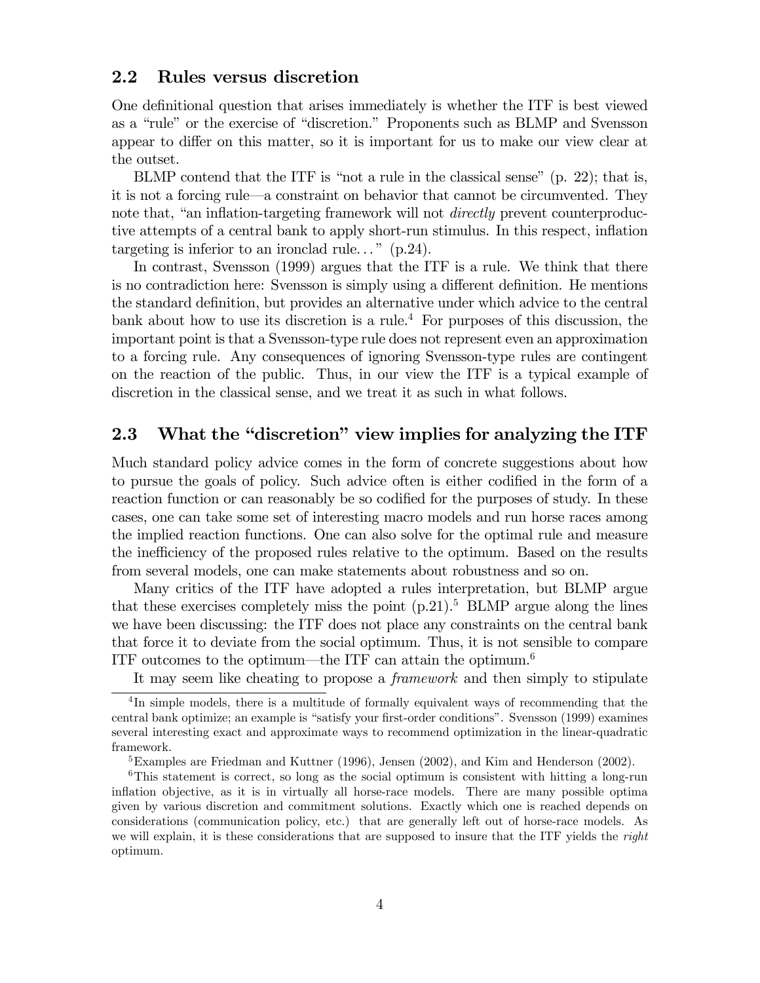### 2.2 Rules versus discretion

One definitional question that arises immediately is whether the ITF is best viewed as a "rule" or the exercise of "discretion." Proponents such as BLMP and Svensson appear to differ on this matter, so it is important for us to make our view clear at the outset.

BLMP contend that the ITF is "not a rule in the classical sense" (p. 22); that is, it is not a forcing rule–a constraint on behavior that cannot be circumvented. They note that, "an inflation-targeting framework will not *directly* prevent counterproductive attempts of a central bank to apply short-run stimulus. In this respect, inflation targeting is inferior to an ironclad rule..."  $(p.24)$ .

In contrast, Svensson (1999) argues that the ITF is a rule. We think that there is no contradiction here: Svensson is simply using a different definition. He mentions the standard definition, but provides an alternative under which advice to the central bank about how to use its discretion is a rule.<sup>4</sup> For purposes of this discussion, the important point is that a Svensson-type rule does not represent even an approximation to a forcing rule. Any consequences of ignoring Svensson-type rules are contingent on the reaction of the public. Thus, in our view the ITF is a typical example of discretion in the classical sense, and we treat it as such in what follows.

## 2.3 What the "discretion" view implies for analyzing the ITF

Much standard policy advice comes in the form of concrete suggestions about how to pursue the goals of policy. Such advice often is either codified in the form of a reaction function or can reasonably be so codified for the purposes of study. In these cases, one can take some set of interesting macro models and run horse races among the implied reaction functions. One can also solve for the optimal rule and measure the inefficiency of the proposed rules relative to the optimum. Based on the results from several models, one can make statements about robustness and so on.

Many critics of the ITF have adopted a rules interpretation, but BLMP argue that these exercises completely miss the point  $(p.21)$ .<sup>5</sup> BLMP argue along the lines we have been discussing: the ITF does not place any constraints on the central bank that force it to deviate from the social optimum. Thus, it is not sensible to compare ITF outcomes to the optimum—the ITF can attain the optimum.<sup>6</sup>

It may seem like cheating to propose a framework and then simply to stipulate

<sup>&</sup>lt;sup>4</sup>In simple models, there is a multitude of formally equivalent ways of recommending that the central bank optimize; an example is "satisfy your first-order conditions". Svensson (1999) examines several interesting exact and approximate ways to recommend optimization in the linear-quadratic framework.

<sup>&</sup>lt;sup>5</sup>Examples are Friedman and Kuttner (1996), Jensen (2002), and Kim and Henderson (2002).

<sup>&</sup>lt;sup>6</sup>This statement is correct, so long as the social optimum is consistent with hitting a long-run inflation objective, as it is in virtually all horse-race models. There are many possible optima given by various discretion and commitment solutions. Exactly which one is reached depends on considerations (communication policy, etc.) that are generally left out of horse-race models. As we will explain, it is these considerations that are supposed to insure that the ITF yields the *right* optimum.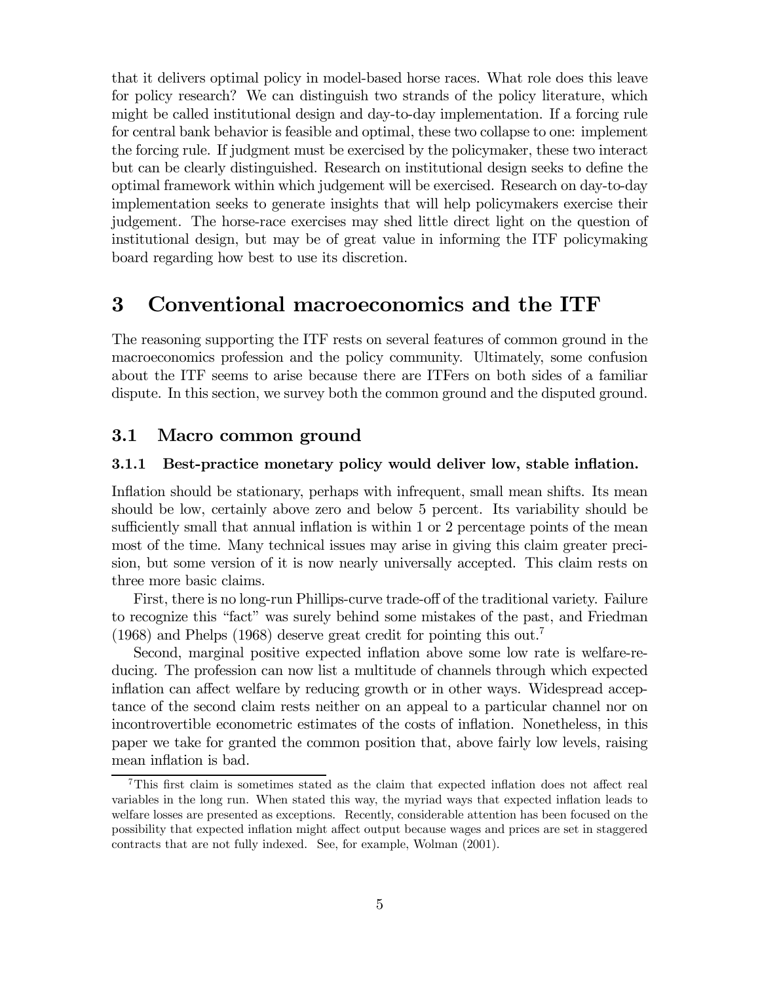that it delivers optimal policy in model-based horse races. What role does this leave for policy research? We can distinguish two strands of the policy literature, which might be called institutional design and day-to-day implementation. If a forcing rule for central bank behavior is feasible and optimal, these two collapse to one: implement the forcing rule. If judgment must be exercised by the policymaker, these two interact but can be clearly distinguished. Research on institutional design seeks to define the optimal framework within which judgement will be exercised. Research on day-to-day implementation seeks to generate insights that will help policymakers exercise their judgement. The horse-race exercises may shed little direct light on the question of institutional design, but may be of great value in informing the ITF policymaking board regarding how best to use its discretion.

# 3 Conventional macroeconomics and the ITF

The reasoning supporting the ITF rests on several features of common ground in the macroeconomics profession and the policy community. Ultimately, some confusion about the ITF seems to arise because there are ITFers on both sides of a familiar dispute. In this section, we survey both the common ground and the disputed ground.

#### 3.1 Macro common ground

#### 3.1.1 Best-practice monetary policy would deliver low, stable inflation.

Inflation should be stationary, perhaps with infrequent, small mean shifts. Its mean should be low, certainly above zero and below 5 percent. Its variability should be sufficiently small that annual inflation is within 1 or 2 percentage points of the mean most of the time. Many technical issues may arise in giving this claim greater precision, but some version of it is now nearly universally accepted. This claim rests on three more basic claims.

First, there is no long-run Phillips-curve trade-off of the traditional variety. Failure to recognize this "fact" was surely behind some mistakes of the past, and Friedman (1968) and Phelps (1968) deserve great credit for pointing this out.7

Second, marginal positive expected inflation above some low rate is welfare-reducing. The profession can now list a multitude of channels through which expected inflation can affect welfare by reducing growth or in other ways. Widespread acceptance of the second claim rests neither on an appeal to a particular channel nor on incontrovertible econometric estimates of the costs of inflation. Nonetheless, in this paper we take for granted the common position that, above fairly low levels, raising mean inflation is bad.

<sup>7</sup>This first claim is sometimes stated as the claim that expected inflation does not affect real variables in the long run. When stated this way, the myriad ways that expected inflation leads to welfare losses are presented as exceptions. Recently, considerable attention has been focused on the possibility that expected inflation might affect output because wages and prices are set in staggered contracts that are not fully indexed. See, for example, Wolman (2001).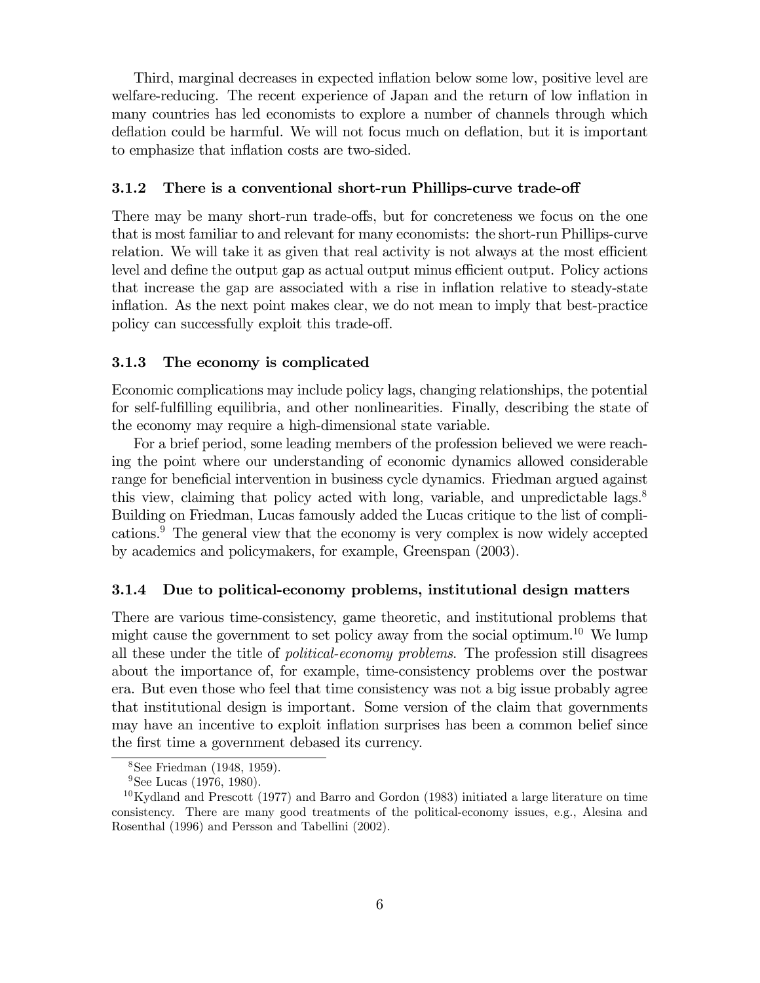Third, marginal decreases in expected inflation below some low, positive level are welfare-reducing. The recent experience of Japan and the return of low inflation in many countries has led economists to explore a number of channels through which deflation could be harmful. We will not focus much on deflation, but it is important to emphasize that inflation costs are two-sided.

#### 3.1.2 There is a conventional short-run Phillips-curve trade-off

There may be many short-run trade-offs, but for concreteness we focus on the one that is most familiar to and relevant for many economists: the short-run Phillips-curve relation. We will take it as given that real activity is not always at the most efficient level and define the output gap as actual output minus efficient output. Policy actions that increase the gap are associated with a rise in inflation relative to steady-state inflation. As the next point makes clear, we do not mean to imply that best-practice policy can successfully exploit this trade-off.

#### 3.1.3 The economy is complicated

Economic complications may include policy lags, changing relationships, the potential for self-fulfilling equilibria, and other nonlinearities. Finally, describing the state of the economy may require a high-dimensional state variable.

For a brief period, some leading members of the profession believed we were reaching the point where our understanding of economic dynamics allowed considerable range for beneficial intervention in business cycle dynamics. Friedman argued against this view, claiming that policy acted with long, variable, and unpredictable lags. $8$ Building on Friedman, Lucas famously added the Lucas critique to the list of complications.9 The general view that the economy is very complex is now widely accepted by academics and policymakers, for example, Greenspan (2003).

#### 3.1.4 Due to political-economy problems, institutional design matters

There are various time-consistency, game theoretic, and institutional problems that might cause the government to set policy away from the social optimum.<sup>10</sup> We lump all these under the title of political-economy problems. The profession still disagrees about the importance of, for example, time-consistency problems over the postwar era. But even those who feel that time consistency was not a big issue probably agree that institutional design is important. Some version of the claim that governments may have an incentive to exploit inflation surprises has been a common belief since the first time a government debased its currency.

<sup>8</sup>See Friedman (1948, 1959).

<sup>&</sup>lt;sup>9</sup>See Lucas (1976, 1980).

 $10$ Kydland and Prescott (1977) and Barro and Gordon (1983) initiated a large literature on time consistency. There are many good treatments of the political-economy issues, e.g., Alesina and Rosenthal (1996) and Persson and Tabellini (2002).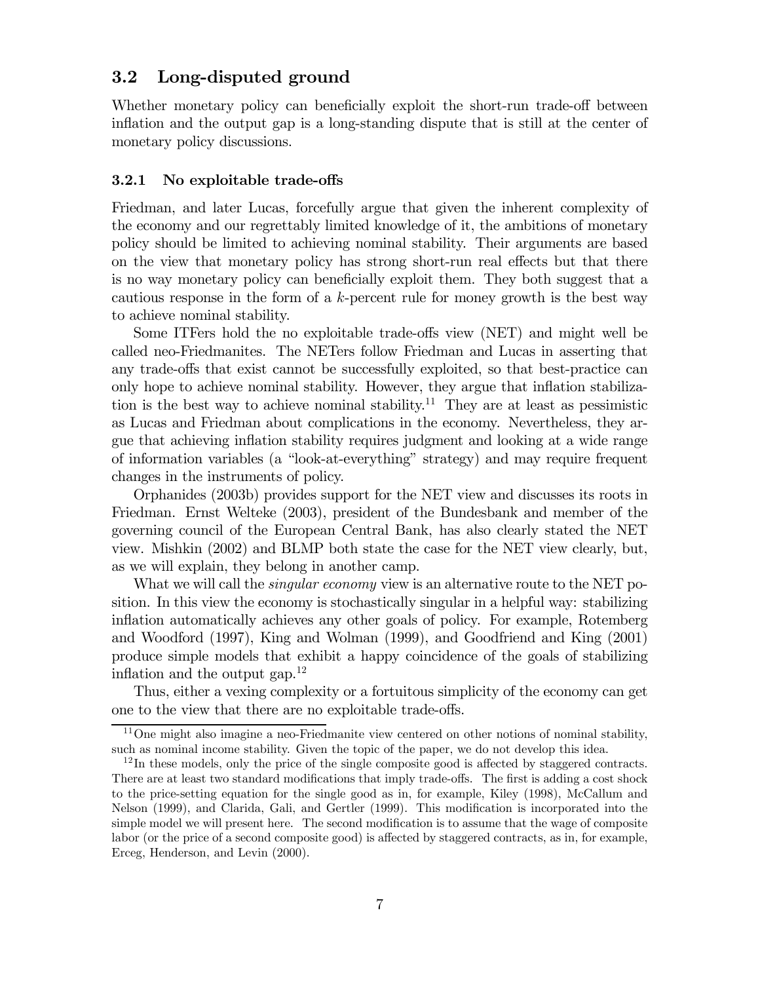#### 3.2 Long-disputed ground

Whether monetary policy can beneficially exploit the short-run trade-off between inflation and the output gap is a long-standing dispute that is still at the center of monetary policy discussions.

#### 3.2.1 No exploitable trade-offs

Friedman, and later Lucas, forcefully argue that given the inherent complexity of the economy and our regrettably limited knowledge of it, the ambitions of monetary policy should be limited to achieving nominal stability. Their arguments are based on the view that monetary policy has strong short-run real effects but that there is no way monetary policy can beneficially exploit them. They both suggest that a cautious response in the form of a k-percent rule for money growth is the best way to achieve nominal stability.

Some ITFers hold the no exploitable trade-offs view (NET) and might well be called neo-Friedmanites. The NETers follow Friedman and Lucas in asserting that any trade-offs that exist cannot be successfully exploited, so that best-practice can only hope to achieve nominal stability. However, they argue that inflation stabilization is the best way to achieve nominal stability.<sup>11</sup> They are at least as pessimistic as Lucas and Friedman about complications in the economy. Nevertheless, they argue that achieving inflation stability requires judgment and looking at a wide range of information variables (a "look-at-everything" strategy) and may require frequent changes in the instruments of policy.

Orphanides (2003b) provides support for the NET view and discusses its roots in Friedman. Ernst Welteke (2003), president of the Bundesbank and member of the governing council of the European Central Bank, has also clearly stated the NET view. Mishkin (2002) and BLMP both state the case for the NET view clearly, but, as we will explain, they belong in another camp.

What we will call the *singular economy* view is an alternative route to the NET position. In this view the economy is stochastically singular in a helpful way: stabilizing inflation automatically achieves any other goals of policy. For example, Rotemberg and Woodford (1997), King and Wolman (1999), and Goodfriend and King (2001) produce simple models that exhibit a happy coincidence of the goals of stabilizing inflation and the output gap. $^{12}$ 

Thus, either a vexing complexity or a fortuitous simplicity of the economy can get one to the view that there are no exploitable trade-offs.

 $11$ One might also imagine a neo-Friedmanite view centered on other notions of nominal stability, such as nominal income stability. Given the topic of the paper, we do not develop this idea.

 $12$ In these models, only the price of the single composite good is affected by staggered contracts. There are at least two standard modifications that imply trade-offs. The first is adding a cost shock to the price-setting equation for the single good as in, for example, Kiley (1998), McCallum and Nelson (1999), and Clarida, Gali, and Gertler (1999). This modification is incorporated into the simple model we will present here. The second modification is to assume that the wage of composite labor (or the price of a second composite good) is affected by staggered contracts, as in, for example, Erceg, Henderson, and Levin (2000).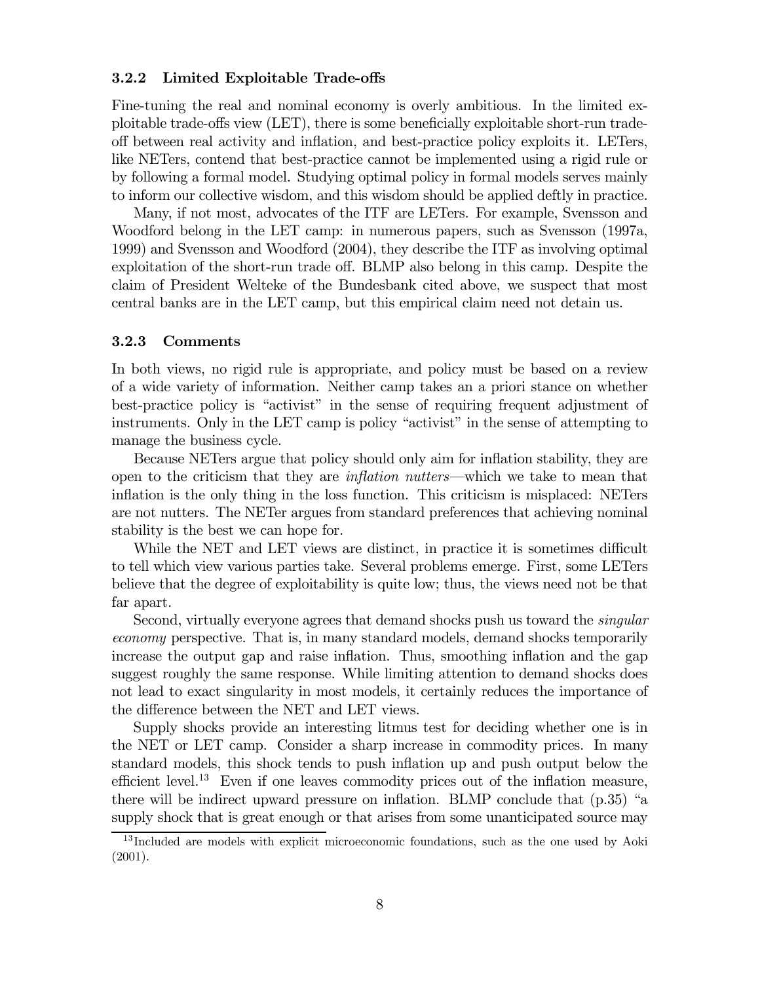#### 3.2.2 Limited Exploitable Trade-offs

Fine-tuning the real and nominal economy is overly ambitious. In the limited exploitable trade-offs view (LET), there is some beneficially exploitable short-run tradeoff between real activity and inflation, and best-practice policy exploits it. LETers, like NETers, contend that best-practice cannot be implemented using a rigid rule or by following a formal model. Studying optimal policy in formal models serves mainly to inform our collective wisdom, and this wisdom should be applied deftly in practice.

Many, if not most, advocates of the ITF are LETers. For example, Svensson and Woodford belong in the LET camp: in numerous papers, such as Svensson (1997a, 1999) and Svensson and Woodford (2004), they describe the ITF as involving optimal exploitation of the short-run trade off. BLMP also belong in this camp. Despite the claim of President Welteke of the Bundesbank cited above, we suspect that most central banks are in the LET camp, but this empirical claim need not detain us.

#### 3.2.3 Comments

In both views, no rigid rule is appropriate, and policy must be based on a review of a wide variety of information. Neither camp takes an a priori stance on whether best-practice policy is "activist" in the sense of requiring frequent adjustment of instruments. Only in the LET camp is policy "activist" in the sense of attempting to manage the business cycle.

Because NETers argue that policy should only aim for inflation stability, they are open to the criticism that they are inflation nutters–which we take to mean that inflation is the only thing in the loss function. This criticism is misplaced: NETers are not nutters. The NETer argues from standard preferences that achieving nominal stability is the best we can hope for.

While the NET and LET views are distinct, in practice it is sometimes difficult to tell which view various parties take. Several problems emerge. First, some LETers believe that the degree of exploitability is quite low; thus, the views need not be that far apart.

Second, virtually everyone agrees that demand shocks push us toward the *singular* economy perspective. That is, in many standard models, demand shocks temporarily increase the output gap and raise inflation. Thus, smoothing inflation and the gap suggest roughly the same response. While limiting attention to demand shocks does not lead to exact singularity in most models, it certainly reduces the importance of the difference between the NET and LET views.

Supply shocks provide an interesting litmus test for deciding whether one is in the NET or LET camp. Consider a sharp increase in commodity prices. In many standard models, this shock tends to push inflation up and push output below the efficient level.13 Even if one leaves commodity prices out of the inflation measure, there will be indirect upward pressure on inflation. BLMP conclude that (p.35) "a supply shock that is great enough or that arises from some unanticipated source may

<sup>&</sup>lt;sup>13</sup>Included are models with explicit microeconomic foundations, such as the one used by Aoki (2001).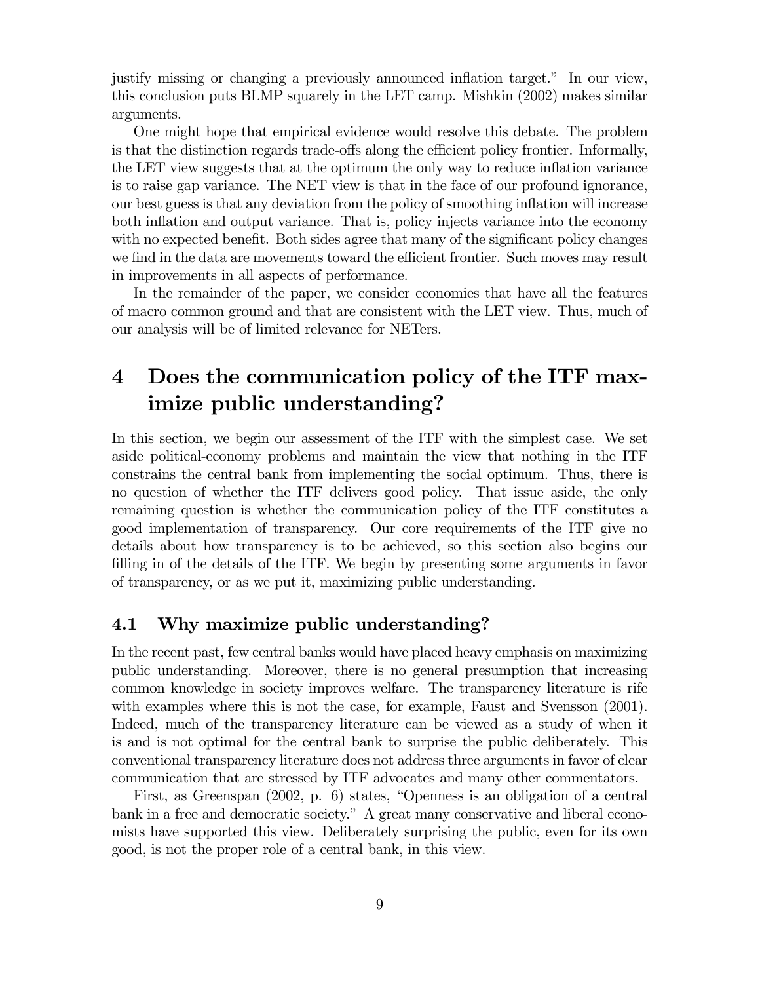justify missing or changing a previously announced inflation target." In our view, this conclusion puts BLMP squarely in the LET camp. Mishkin (2002) makes similar arguments.

One might hope that empirical evidence would resolve this debate. The problem is that the distinction regards trade-offs along the efficient policy frontier. Informally, the LET view suggests that at the optimum the only way to reduce inflation variance is to raise gap variance. The NET view is that in the face of our profound ignorance, our best guess is that any deviation from the policy of smoothing inflation will increase both inflation and output variance. That is, policy injects variance into the economy with no expected benefit. Both sides agree that many of the significant policy changes we find in the data are movements toward the efficient frontier. Such moves may result in improvements in all aspects of performance.

In the remainder of the paper, we consider economies that have all the features of macro common ground and that are consistent with the LET view. Thus, much of our analysis will be of limited relevance for NETers.

# 4 Does the communication policy of the ITF maximize public understanding?

In this section, we begin our assessment of the ITF with the simplest case. We set aside political-economy problems and maintain the view that nothing in the ITF constrains the central bank from implementing the social optimum. Thus, there is no question of whether the ITF delivers good policy. That issue aside, the only remaining question is whether the communication policy of the ITF constitutes a good implementation of transparency. Our core requirements of the ITF give no details about how transparency is to be achieved, so this section also begins our filling in of the details of the ITF. We begin by presenting some arguments in favor of transparency, or as we put it, maximizing public understanding.

#### 4.1 Why maximize public understanding?

In the recent past, few central banks would have placed heavy emphasis on maximizing public understanding. Moreover, there is no general presumption that increasing common knowledge in society improves welfare. The transparency literature is rife with examples where this is not the case, for example, Faust and Svensson (2001). Indeed, much of the transparency literature can be viewed as a study of when it is and is not optimal for the central bank to surprise the public deliberately. This conventional transparency literature does not address three arguments in favor of clear communication that are stressed by ITF advocates and many other commentators.

First, as Greenspan (2002, p. 6) states, "Openness is an obligation of a central bank in a free and democratic society." A great many conservative and liberal economists have supported this view. Deliberately surprising the public, even for its own good, is not the proper role of a central bank, in this view.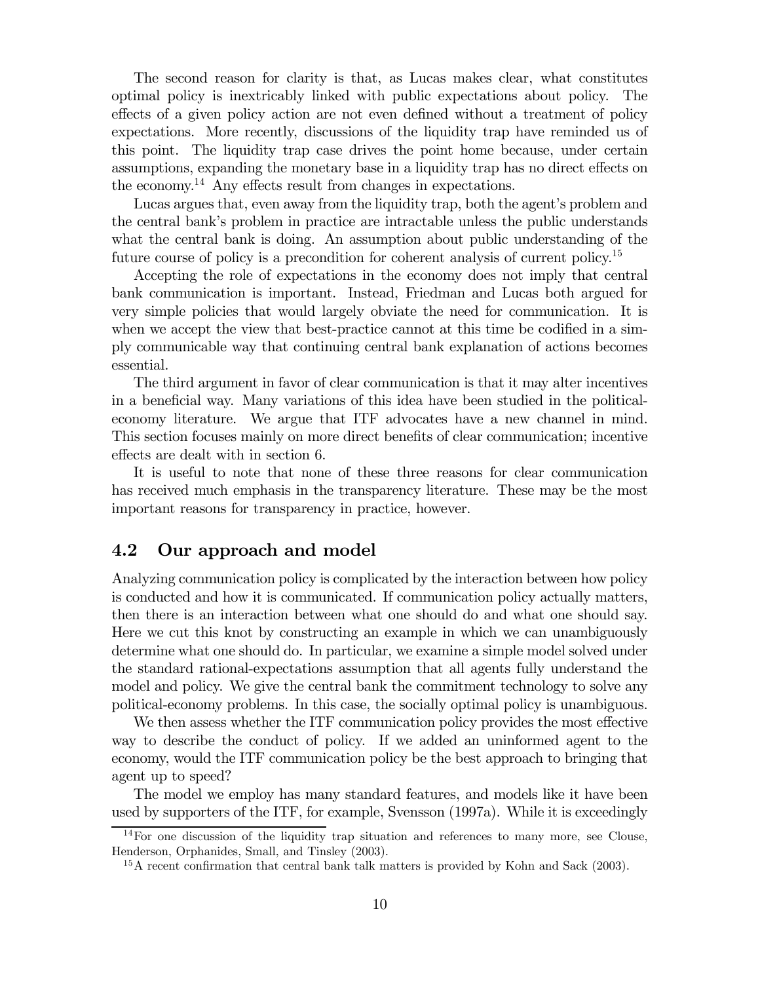The second reason for clarity is that, as Lucas makes clear, what constitutes optimal policy is inextricably linked with public expectations about policy. The effects of a given policy action are not even defined without a treatment of policy expectations. More recently, discussions of the liquidity trap have reminded us of this point. The liquidity trap case drives the point home because, under certain assumptions, expanding the monetary base in a liquidity trap has no direct effects on the economy.14 Any effects result from changes in expectations.

Lucas argues that, even away from the liquidity trap, both the agent's problem and the central bank's problem in practice are intractable unless the public understands what the central bank is doing. An assumption about public understanding of the future course of policy is a precondition for coherent analysis of current policy.<sup>15</sup>

Accepting the role of expectations in the economy does not imply that central bank communication is important. Instead, Friedman and Lucas both argued for very simple policies that would largely obviate the need for communication. It is when we accept the view that best-practice cannot at this time be codified in a simply communicable way that continuing central bank explanation of actions becomes essential.

The third argument in favor of clear communication is that it may alter incentives in a beneficial way. Many variations of this idea have been studied in the politicaleconomy literature. We argue that ITF advocates have a new channel in mind. This section focuses mainly on more direct benefits of clear communication; incentive effects are dealt with in section 6.

It is useful to note that none of these three reasons for clear communication has received much emphasis in the transparency literature. These may be the most important reasons for transparency in practice, however.

#### 4.2 Our approach and model

Analyzing communication policy is complicated by the interaction between how policy is conducted and how it is communicated. If communication policy actually matters, then there is an interaction between what one should do and what one should say. Here we cut this knot by constructing an example in which we can unambiguously determine what one should do. In particular, we examine a simple model solved under the standard rational-expectations assumption that all agents fully understand the model and policy. We give the central bank the commitment technology to solve any political-economy problems. In this case, the socially optimal policy is unambiguous.

We then assess whether the ITF communication policy provides the most effective way to describe the conduct of policy. If we added an uninformed agent to the economy, would the ITF communication policy be the best approach to bringing that agent up to speed?

The model we employ has many standard features, and models like it have been used by supporters of the ITF, for example, Svensson (1997a). While it is exceedingly

<sup>14</sup>For one discussion of the liquidity trap situation and references to many more, see Clouse, Henderson, Orphanides, Small, and Tinsley (2003).

<sup>&</sup>lt;sup>15</sup>A recent confirmation that central bank talk matters is provided by Kohn and Sack (2003).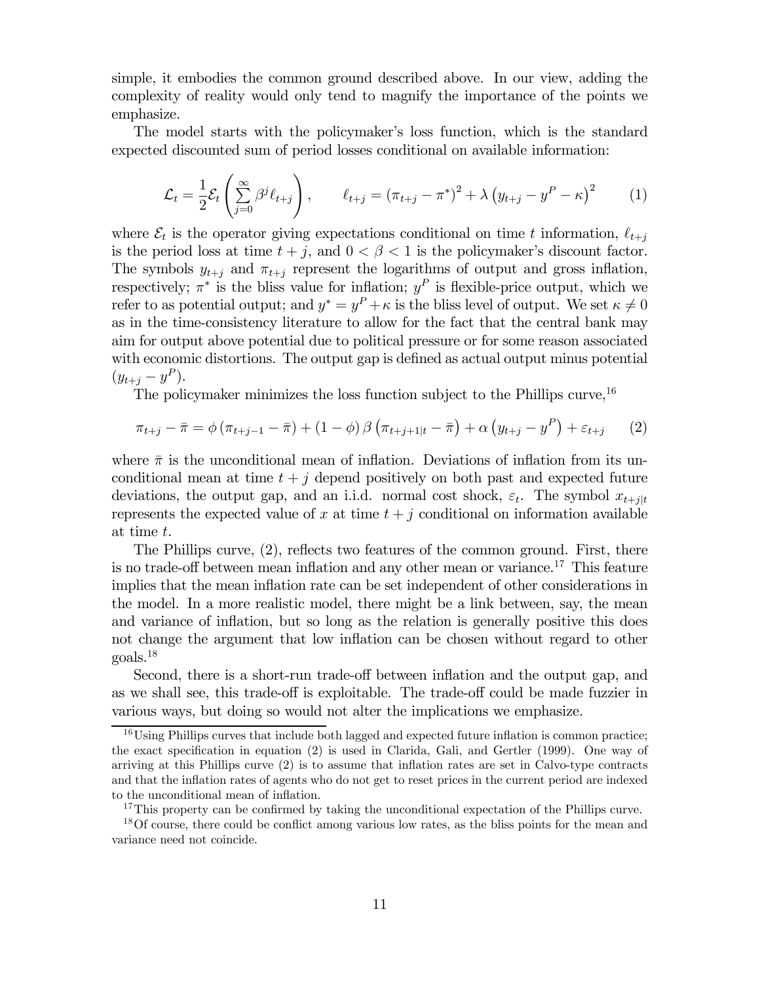simple, it embodies the common ground described above. In our view, adding the complexity of reality would only tend to magnify the importance of the points we emphasize.

The model starts with the policymaker's loss function, which is the standard expected discounted sum of period losses conditional on available information:

$$
\mathcal{L}_t = \frac{1}{2} \mathcal{E}_t \left( \sum_{j=0}^{\infty} \beta^j \ell_{t+j} \right), \qquad \ell_{t+j} = (\pi_{t+j} - \pi^*)^2 + \lambda \left( y_{t+j} - y^P - \kappa \right)^2 \tag{1}
$$

where  $\mathcal{E}_t$  is the operator giving expectations conditional on time t information,  $\ell_{t+i}$ is the period loss at time  $t + j$ , and  $0 < \beta < 1$  is the policymaker's discount factor. The symbols  $y_{t+i}$  and  $\pi_{t+i}$  represent the logarithms of output and gross inflation, respectively;  $\pi^*$  is the bliss value for inflation;  $y^P$  is flexible-price output, which we refer to as potential output; and  $y^* = y^P + \kappa$  is the bliss level of output. We set  $\kappa \neq 0$ as in the time-consistency literature to allow for the fact that the central bank may aim for output above potential due to political pressure or for some reason associated with economic distortions. The output gap is defined as actual output minus potential  $(y_{t+i} - y^P).$ 

The policymaker minimizes the loss function subject to the Phillips curve,  $16$ 

$$
\pi_{t+j} - \bar{\pi} = \phi \left( \pi_{t+j-1} - \bar{\pi} \right) + (1 - \phi) \beta \left( \pi_{t+j+1|t} - \bar{\pi} \right) + \alpha \left( y_{t+j} - y^P \right) + \varepsilon_{t+j} \tag{2}
$$

where  $\bar{\pi}$  is the unconditional mean of inflation. Deviations of inflation from its unconditional mean at time  $t + j$  depend positively on both past and expected future deviations, the output gap, and an i.i.d. normal cost shock,  $\varepsilon_t$ . The symbol  $x_{t+1|t}$ represents the expected value of x at time  $t + j$  conditional on information available at time t.

The Phillips curve, (2), reflects two features of the common ground. First, there is no trade-off between mean inflation and any other mean or variance.<sup>17</sup> This feature implies that the mean inflation rate can be set independent of other considerations in the model. In a more realistic model, there might be a link between, say, the mean and variance of inflation, but so long as the relation is generally positive this does not change the argument that low inflation can be chosen without regard to other goals.18

Second, there is a short-run trade-off between inflation and the output gap, and as we shall see, this trade-off is exploitable. The trade-off could be made fuzzier in various ways, but doing so would not alter the implications we emphasize.

 $16$ Using Phillips curves that include both lagged and expected future inflation is common practice; the exact specification in equation (2) is used in Clarida, Gali, and Gertler (1999). One way of arriving at this Phillips curve (2) is to assume that inflation rates are set in Calvo-type contracts and that the inflation rates of agents who do not get to reset prices in the current period are indexed to the unconditional mean of inflation.

<sup>&</sup>lt;sup>17</sup>This property can be confirmed by taking the unconditional expectation of the Phillips curve.

<sup>&</sup>lt;sup>18</sup>Of course, there could be conflict among various low rates, as the bliss points for the mean and variance need not coincide.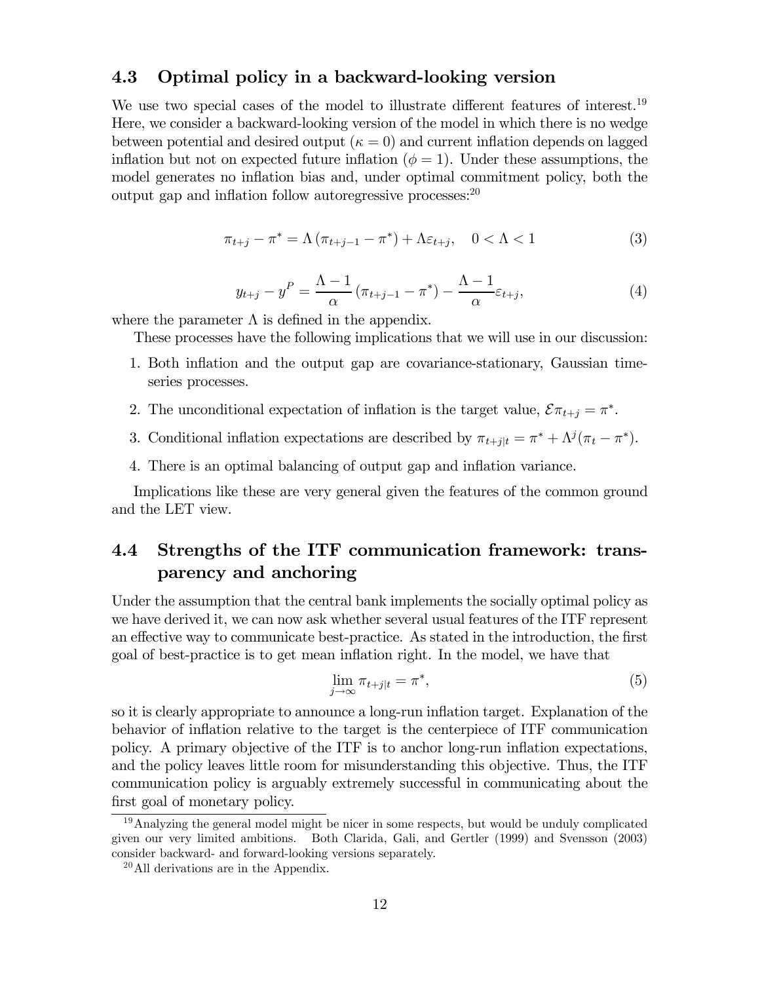#### 4.3 Optimal policy in a backward-looking version

We use two special cases of the model to illustrate different features of interest.<sup>19</sup> Here, we consider a backward-looking version of the model in which there is no wedge between potential and desired output  $(\kappa = 0)$  and current inflation depends on lagged inflation but not on expected future inflation  $(\phi = 1)$ . Under these assumptions, the model generates no inflation bias and, under optimal commitment policy, both the output gap and inflation follow autoregressive processes: $^{20}$ 

$$
\pi_{t+j} - \pi^* = \Lambda \left( \pi_{t+j-1} - \pi^* \right) + \Lambda \varepsilon_{t+j}, \quad 0 < \Lambda < 1 \tag{3}
$$

$$
y_{t+j} - y^P = \frac{\Lambda - 1}{\alpha} \left( \pi_{t+j-1} - \pi^* \right) - \frac{\Lambda - 1}{\alpha} \varepsilon_{t+j},\tag{4}
$$

where the parameter  $\Lambda$  is defined in the appendix.

These processes have the following implications that we will use in our discussion:

- 1. Both inflation and the output gap are covariance-stationary, Gaussian timeseries processes.
- 2. The unconditional expectation of inflation is the target value,  $\mathcal{E}\pi_{t+j} = \pi^*$ .
- 3. Conditional inflation expectations are described by  $\pi_{t+j|t} = \pi^* + \Lambda^j(\pi_t \pi^*)$ .
- 4. There is an optimal balancing of output gap and inflation variance.

Implications like these are very general given the features of the common ground and the LET view.

# 4.4 Strengths of the ITF communication framework: transparency and anchoring

Under the assumption that the central bank implements the socially optimal policy as we have derived it, we can now ask whether several usual features of the ITF represent an effective way to communicate best-practice. As stated in the introduction, the first goal of best-practice is to get mean inflation right. In the model, we have that

$$
\lim_{j \to \infty} \pi_{t+j|t} = \pi^*,\tag{5}
$$

so it is clearly appropriate to announce a long-run inflation target. Explanation of the behavior of inflation relative to the target is the centerpiece of ITF communication policy. A primary objective of the ITF is to anchor long-run inflation expectations, and the policy leaves little room for misunderstanding this objective. Thus, the ITF communication policy is arguably extremely successful in communicating about the first goal of monetary policy.

<sup>&</sup>lt;sup>19</sup>Analyzing the general model might be nicer in some respects, but would be unduly complicated given our very limited ambitions. Both Clarida, Gali, and Gertler (1999) and Svensson (2003) consider backward- and forward-looking versions separately.

<sup>20</sup>All derivations are in the Appendix.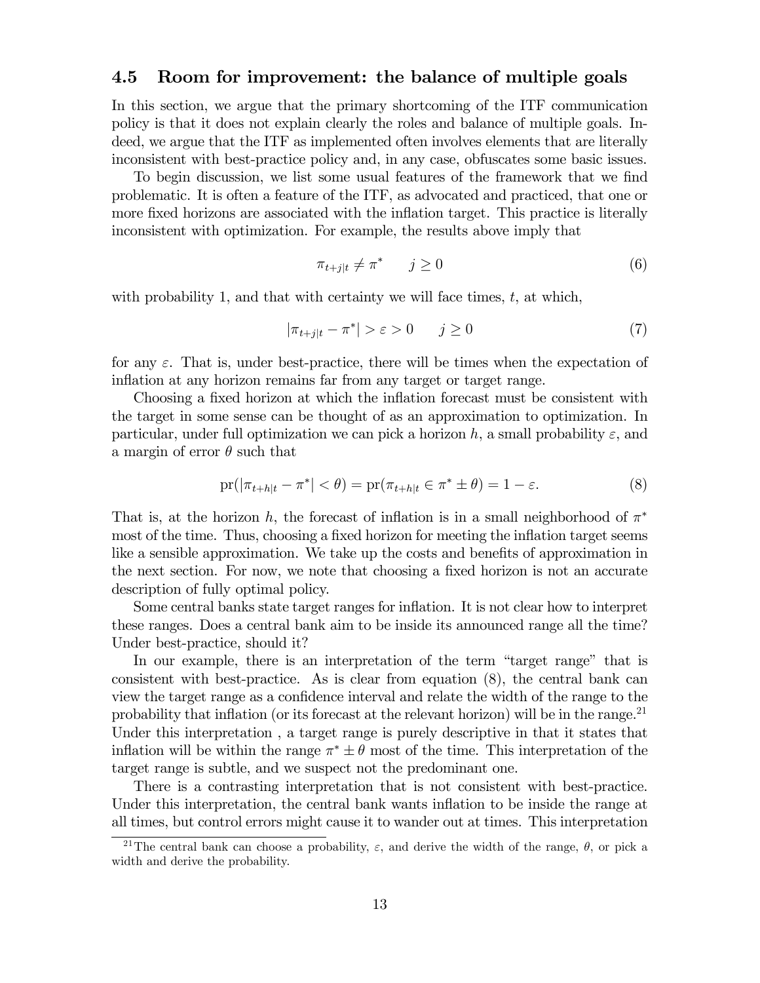#### 4.5 Room for improvement: the balance of multiple goals

In this section, we argue that the primary shortcoming of the ITF communication policy is that it does not explain clearly the roles and balance of multiple goals. Indeed, we argue that the ITF as implemented often involves elements that are literally inconsistent with best-practice policy and, in any case, obfuscates some basic issues.

To begin discussion, we list some usual features of the framework that we find problematic. It is often a feature of the ITF, as advocated and practiced, that one or more fixed horizons are associated with the inflation target. This practice is literally inconsistent with optimization. For example, the results above imply that

$$
\pi_{t+j|t} \neq \pi^* \qquad j \ge 0 \tag{6}
$$

with probability 1, and that with certainty we will face times,  $t$ , at which,

$$
|\pi_{t+j|t} - \pi^*| > \varepsilon > 0 \qquad j \ge 0 \tag{7}
$$

for any  $\varepsilon$ . That is, under best-practice, there will be times when the expectation of inflation at any horizon remains far from any target or target range.

Choosing a fixed horizon at which the inflation forecast must be consistent with the target in some sense can be thought of as an approximation to optimization. In particular, under full optimization we can pick a horizon h, a small probability  $\varepsilon$ , and a margin of error  $\theta$  such that

$$
\text{pr}(|\pi_{t+h|t} - \pi^*| < \theta) = \text{pr}(\pi_{t+h|t} \in \pi^* \pm \theta) = 1 - \varepsilon. \tag{8}
$$

That is, at the horizon h, the forecast of inflation is in a small neighborhood of  $\pi^*$ most of the time. Thus, choosing a fixed horizon for meeting the inflation target seems like a sensible approximation. We take up the costs and benefits of approximation in the next section. For now, we note that choosing a fixed horizon is not an accurate description of fully optimal policy.

Some central banks state target ranges for inflation. It is not clear how to interpret these ranges. Does a central bank aim to be inside its announced range all the time? Under best-practice, should it?

In our example, there is an interpretation of the term "target range" that is consistent with best-practice. As is clear from equation (8), the central bank can view the target range as a confidence interval and relate the width of the range to the probability that inflation (or its forecast at the relevant horizon) will be in the range.<sup>21</sup> Under this interpretation, a target range is purely descriptive in that it states that inflation will be within the range  $\pi^* \pm \theta$  most of the time. This interpretation of the target range is subtle, and we suspect not the predominant one.

There is a contrasting interpretation that is not consistent with best-practice. Under this interpretation, the central bank wants inflation to be inside the range at all times, but control errors might cause it to wander out at times. This interpretation

<sup>&</sup>lt;sup>21</sup>The central bank can choose a probability,  $\varepsilon$ , and derive the width of the range,  $\theta$ , or pick a width and derive the probability.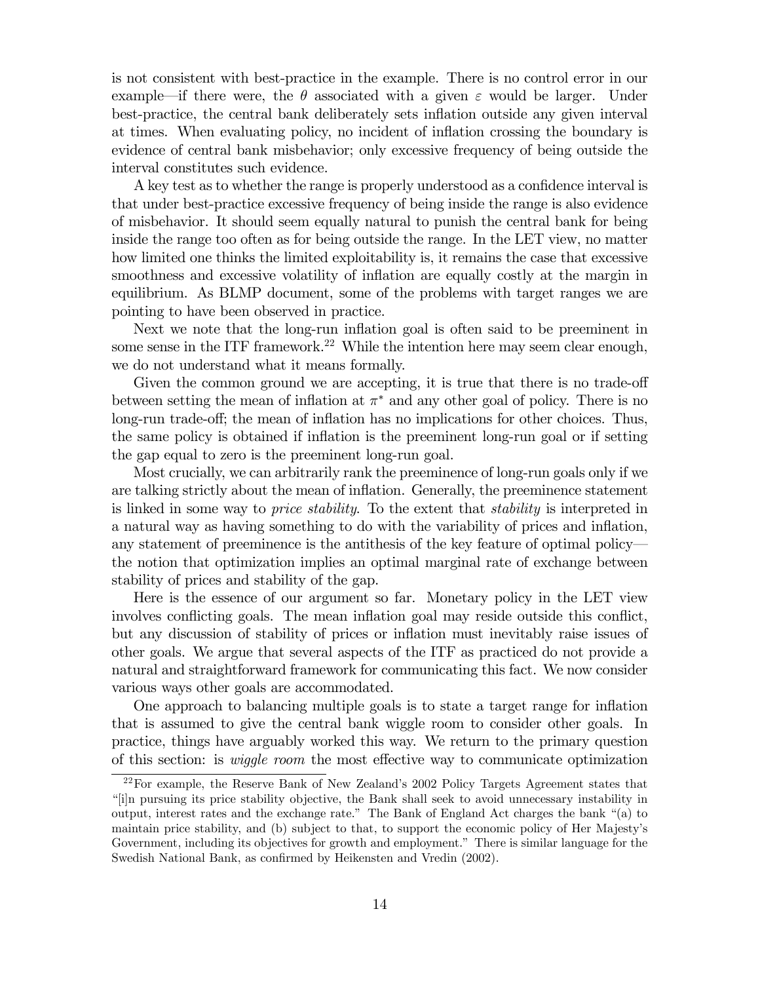is not consistent with best-practice in the example. There is no control error in our example—if there were, the  $\theta$  associated with a given  $\varepsilon$  would be larger. Under best-practice, the central bank deliberately sets inflation outside any given interval at times. When evaluating policy, no incident of inflation crossing the boundary is evidence of central bank misbehavior; only excessive frequency of being outside the interval constitutes such evidence.

A key test as to whether the range is properly understood as a confidence interval is that under best-practice excessive frequency of being inside the range is also evidence of misbehavior. It should seem equally natural to punish the central bank for being inside the range too often as for being outside the range. In the LET view, no matter how limited one thinks the limited exploitability is, it remains the case that excessive smoothness and excessive volatility of inflation are equally costly at the margin in equilibrium. As BLMP document, some of the problems with target ranges we are pointing to have been observed in practice.

Next we note that the long-run inflation goal is often said to be preeminent in some sense in the ITF framework.<sup>22</sup> While the intention here may seem clear enough, we do not understand what it means formally.

Given the common ground we are accepting, it is true that there is no trade-off between setting the mean of inflation at  $\pi^*$  and any other goal of policy. There is no long-run trade-off; the mean of inflation has no implications for other choices. Thus, the same policy is obtained if inflation is the preeminent long-run goal or if setting the gap equal to zero is the preeminent long-run goal.

Most crucially, we can arbitrarily rank the preeminence of long-run goals only if we are talking strictly about the mean of inflation. Generally, the preeminence statement is linked in some way to *price stability*. To the extent that *stability* is interpreted in a natural way as having something to do with the variability of prices and inflation, any statement of preeminence is the antithesis of the key feature of optimal policy– the notion that optimization implies an optimal marginal rate of exchange between stability of prices and stability of the gap.

Here is the essence of our argument so far. Monetary policy in the LET view involves conflicting goals. The mean inflation goal may reside outside this conflict, but any discussion of stability of prices or inflation must inevitably raise issues of other goals. We argue that several aspects of the ITF as practiced do not provide a natural and straightforward framework for communicating this fact. We now consider various ways other goals are accommodated.

One approach to balancing multiple goals is to state a target range for inflation that is assumed to give the central bank wiggle room to consider other goals. In practice, things have arguably worked this way. We return to the primary question of this section: is wiggle room the most effective way to communicate optimization

<sup>22</sup>For example, the Reserve Bank of New Zealand's 2002 Policy Targets Agreement states that "[i]n pursuing its price stability objective, the Bank shall seek to avoid unnecessary instability in output, interest rates and the exchange rate." The Bank of England Act charges the bank "(a) to maintain price stability, and (b) subject to that, to support the economic policy of Her Majesty's Government, including its objectives for growth and employment." There is similar language for the Swedish National Bank, as confirmed by Heikensten and Vredin (2002).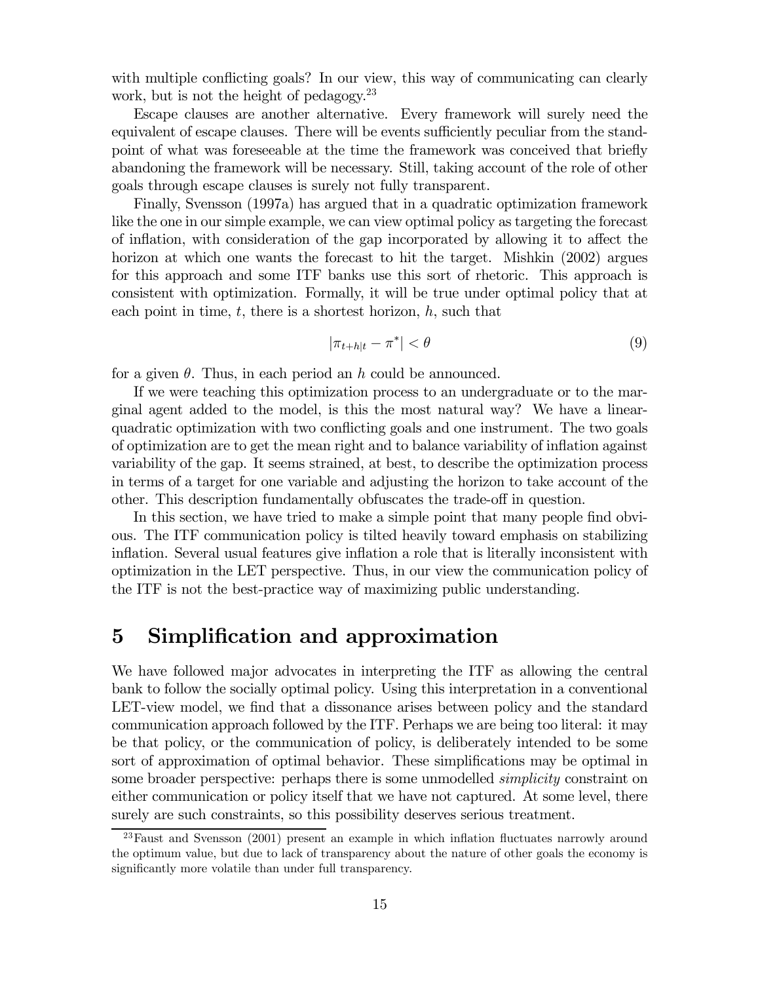with multiple conflicting goals? In our view, this way of communicating can clearly work, but is not the height of pedagogy.<sup>23</sup>

Escape clauses are another alternative. Every framework will surely need the equivalent of escape clauses. There will be events sufficiently peculiar from the standpoint of what was foreseeable at the time the framework was conceived that briefly abandoning the framework will be necessary. Still, taking account of the role of other goals through escape clauses is surely not fully transparent.

Finally, Svensson (1997a) has argued that in a quadratic optimization framework like the one in our simple example, we can view optimal policy as targeting the forecast of inflation, with consideration of the gap incorporated by allowing it to affect the horizon at which one wants the forecast to hit the target. Mishkin (2002) argues for this approach and some ITF banks use this sort of rhetoric. This approach is consistent with optimization. Formally, it will be true under optimal policy that at each point in time,  $t$ , there is a shortest horizon,  $h$ , such that

$$
|\pi_{t+h|t} - \pi^*| < \theta \tag{9}
$$

for a given  $\theta$ . Thus, in each period an h could be announced.

If we were teaching this optimization process to an undergraduate or to the marginal agent added to the model, is this the most natural way? We have a linearquadratic optimization with two conflicting goals and one instrument. The two goals of optimization are to get the mean right and to balance variability of inflation against variability of the gap. It seems strained, at best, to describe the optimization process in terms of a target for one variable and adjusting the horizon to take account of the other. This description fundamentally obfuscates the trade-off in question.

In this section, we have tried to make a simple point that many people find obvious. The ITF communication policy is tilted heavily toward emphasis on stabilizing inflation. Several usual features give inflation a role that is literally inconsistent with optimization in the LET perspective. Thus, in our view the communication policy of the ITF is not the best-practice way of maximizing public understanding.

# 5 Simplification and approximation

We have followed major advocates in interpreting the ITF as allowing the central bank to follow the socially optimal policy. Using this interpretation in a conventional LET-view model, we find that a dissonance arises between policy and the standard communication approach followed by the ITF. Perhaps we are being too literal: it may be that policy, or the communication of policy, is deliberately intended to be some sort of approximation of optimal behavior. These simplifications may be optimal in some broader perspective: perhaps there is some unmodelled *simplicity* constraint on either communication or policy itself that we have not captured. At some level, there surely are such constraints, so this possibility deserves serious treatment.

<sup>&</sup>lt;sup>23</sup>Faust and Svensson (2001) present an example in which inflation fluctuates narrowly around the optimum value, but due to lack of transparency about the nature of other goals the economy is significantly more volatile than under full transparency.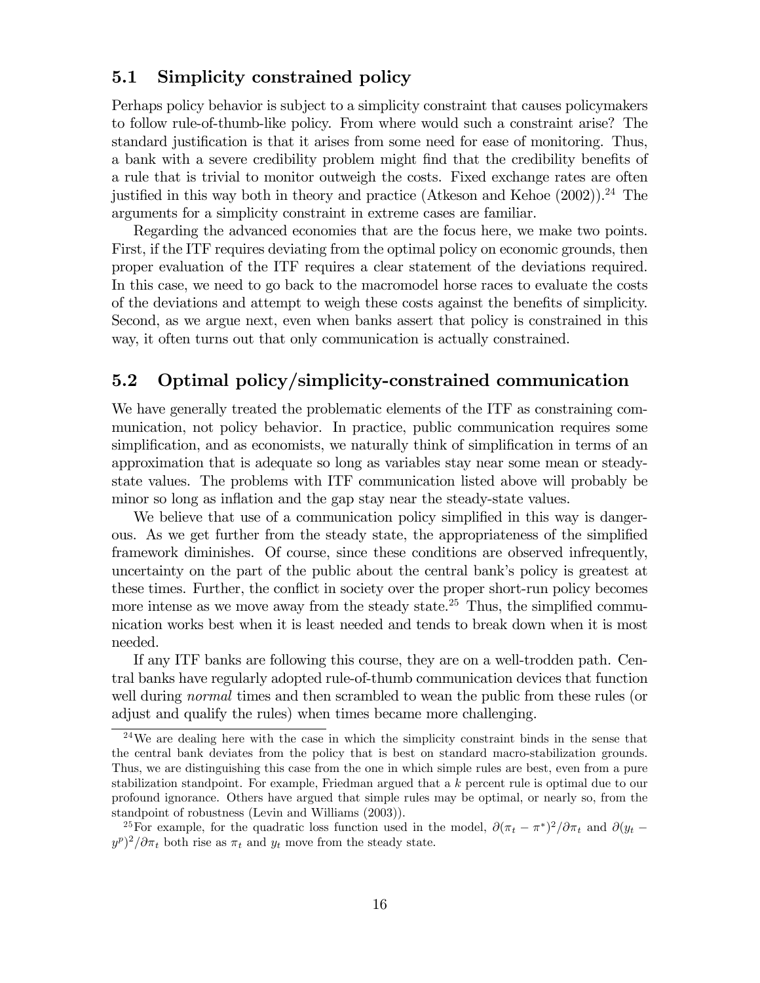## 5.1 Simplicity constrained policy

Perhaps policy behavior is subject to a simplicity constraint that causes policymakers to follow rule-of-thumb-like policy. From where would such a constraint arise? The standard justification is that it arises from some need for ease of monitoring. Thus, a bank with a severe credibility problem might find that the credibility benefits of a rule that is trivial to monitor outweigh the costs. Fixed exchange rates are often justified in this way both in theory and practice (Atkeson and Kehoe  $(2002)$ ).<sup>24</sup> The arguments for a simplicity constraint in extreme cases are familiar.

Regarding the advanced economies that are the focus here, we make two points. First, if the ITF requires deviating from the optimal policy on economic grounds, then proper evaluation of the ITF requires a clear statement of the deviations required. In this case, we need to go back to the macromodel horse races to evaluate the costs of the deviations and attempt to weigh these costs against the benefits of simplicity. Second, as we argue next, even when banks assert that policy is constrained in this way, it often turns out that only communication is actually constrained.

## 5.2 Optimal policy/simplicity-constrained communication

We have generally treated the problematic elements of the ITF as constraining communication, not policy behavior. In practice, public communication requires some simplification, and as economists, we naturally think of simplification in terms of an approximation that is adequate so long as variables stay near some mean or steadystate values. The problems with ITF communication listed above will probably be minor so long as inflation and the gap stay near the steady-state values.

We believe that use of a communication policy simplified in this way is dangerous. As we get further from the steady state, the appropriateness of the simplified framework diminishes. Of course, since these conditions are observed infrequently, uncertainty on the part of the public about the central bank's policy is greatest at these times. Further, the conflict in society over the proper short-run policy becomes more intense as we move away from the steady state.<sup>25</sup> Thus, the simplified communication works best when it is least needed and tends to break down when it is most needed.

If any ITF banks are following this course, they are on a well-trodden path. Central banks have regularly adopted rule-of-thumb communication devices that function well during *normal* times and then scrambled to wean the public from these rules (or adjust and qualify the rules) when times became more challenging.

 $24$ We are dealing here with the case in which the simplicity constraint binds in the sense that the central bank deviates from the policy that is best on standard macro-stabilization grounds. Thus, we are distinguishing this case from the one in which simple rules are best, even from a pure stabilization standpoint. For example, Friedman argued that a k percent rule is optimal due to our profound ignorance. Others have argued that simple rules may be optimal, or nearly so, from the standpoint of robustness (Levin and Williams (2003)).

<sup>&</sup>lt;sup>25</sup>For example, for the quadratic loss function used in the model,  $\partial (\pi_t - \pi^*)^2/\partial \pi_t$  and  $\partial (y_t (y^p)^2/\partial \pi_t$  both rise as  $\pi_t$  and  $y_t$  move from the steady state.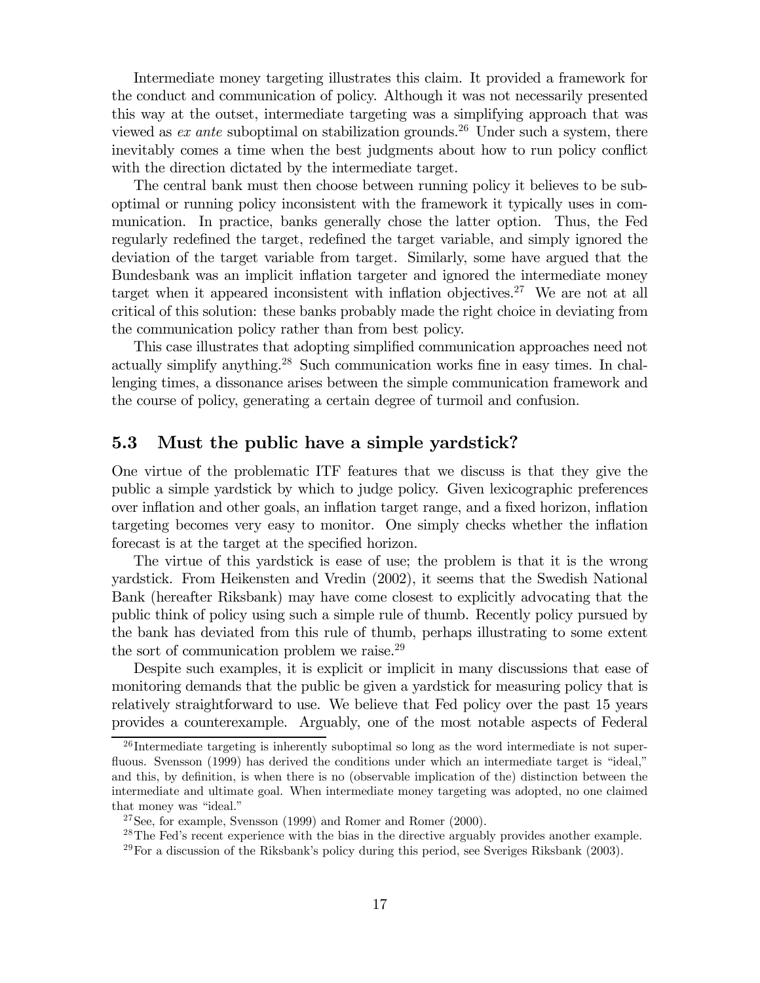Intermediate money targeting illustrates this claim. It provided a framework for the conduct and communication of policy. Although it was not necessarily presented this way at the outset, intermediate targeting was a simplifying approach that was viewed as *ex ante* suboptimal on stabilization grounds.<sup>26</sup> Under such a system, there inevitably comes a time when the best judgments about how to run policy conflict with the direction dictated by the intermediate target.

The central bank must then choose between running policy it believes to be suboptimal or running policy inconsistent with the framework it typically uses in communication. In practice, banks generally chose the latter option. Thus, the Fed regularly redefined the target, redefined the target variable, and simply ignored the deviation of the target variable from target. Similarly, some have argued that the Bundesbank was an implicit inflation targeter and ignored the intermediate money target when it appeared inconsistent with inflation objectives.<sup>27</sup> We are not at all critical of this solution: these banks probably made the right choice in deviating from the communication policy rather than from best policy.

This case illustrates that adopting simplified communication approaches need not actually simplify anything.<sup>28</sup> Such communication works fine in easy times. In challenging times, a dissonance arises between the simple communication framework and the course of policy, generating a certain degree of turmoil and confusion.

#### 5.3 Must the public have a simple yardstick?

One virtue of the problematic ITF features that we discuss is that they give the public a simple yardstick by which to judge policy. Given lexicographic preferences over inflation and other goals, an inflation target range, and a fixed horizon, inflation targeting becomes very easy to monitor. One simply checks whether the inflation forecast is at the target at the specified horizon.

The virtue of this yardstick is ease of use; the problem is that it is the wrong yardstick. From Heikensten and Vredin (2002), it seems that the Swedish National Bank (hereafter Riksbank) may have come closest to explicitly advocating that the public think of policy using such a simple rule of thumb. Recently policy pursued by the bank has deviated from this rule of thumb, perhaps illustrating to some extent the sort of communication problem we raise.<sup>29</sup>

Despite such examples, it is explicit or implicit in many discussions that ease of monitoring demands that the public be given a yardstick for measuring policy that is relatively straightforward to use. We believe that Fed policy over the past 15 years provides a counterexample. Arguably, one of the most notable aspects of Federal

 $26$  Intermediate targeting is inherently suboptimal so long as the word intermediate is not superfluous. Svensson (1999) has derived the conditions under which an intermediate target is "ideal," and this, by definition, is when there is no (observable implication of the) distinction between the intermediate and ultimate goal. When intermediate money targeting was adopted, no one claimed that money was "ideal."

 $27$ See, for example, Svensson (1999) and Romer and Romer (2000).

<sup>&</sup>lt;sup>28</sup>The Fed's recent experience with the bias in the directive arguably provides another example.

 $^{29}$  For a discussion of the Riksbank's policy during this period, see Sveriges Riksbank (2003).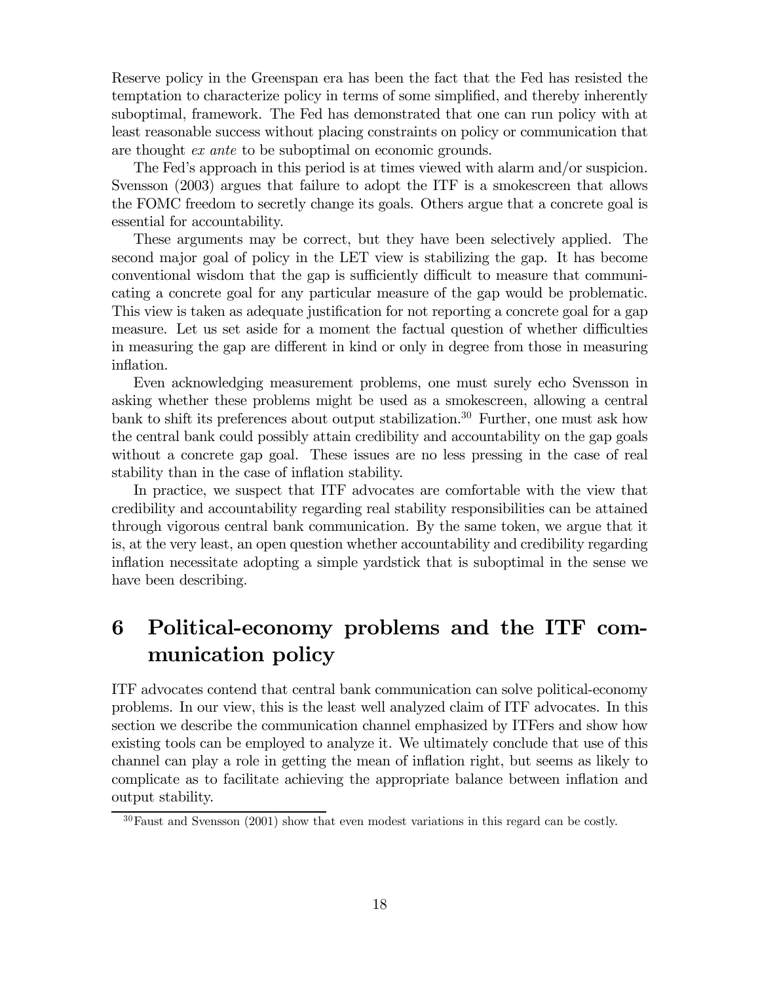Reserve policy in the Greenspan era has been the fact that the Fed has resisted the temptation to characterize policy in terms of some simplified, and thereby inherently suboptimal, framework. The Fed has demonstrated that one can run policy with at least reasonable success without placing constraints on policy or communication that are thought *ex ante* to be suboptimal on economic grounds.

The Fed's approach in this period is at times viewed with alarm and/or suspicion. Svensson (2003) argues that failure to adopt the ITF is a smokescreen that allows the FOMC freedom to secretly change its goals. Others argue that a concrete goal is essential for accountability.

These arguments may be correct, but they have been selectively applied. The second major goal of policy in the LET view is stabilizing the gap. It has become conventional wisdom that the gap is sufficiently difficult to measure that communicating a concrete goal for any particular measure of the gap would be problematic. This view is taken as adequate justification for not reporting a concrete goal for a gap measure. Let us set aside for a moment the factual question of whether difficulties in measuring the gap are different in kind or only in degree from those in measuring inflation.

Even acknowledging measurement problems, one must surely echo Svensson in asking whether these problems might be used as a smokescreen, allowing a central bank to shift its preferences about output stabilization.<sup>30</sup> Further, one must ask how the central bank could possibly attain credibility and accountability on the gap goals without a concrete gap goal. These issues are no less pressing in the case of real stability than in the case of inflation stability.

In practice, we suspect that ITF advocates are comfortable with the view that credibility and accountability regarding real stability responsibilities can be attained through vigorous central bank communication. By the same token, we argue that it is, at the very least, an open question whether accountability and credibility regarding inflation necessitate adopting a simple yardstick that is suboptimal in the sense we have been describing.

# 6 Political-economy problems and the ITF communication policy

ITF advocates contend that central bank communication can solve political-economy problems. In our view, this is the least well analyzed claim of ITF advocates. In this section we describe the communication channel emphasized by ITFers and show how existing tools can be employed to analyze it. We ultimately conclude that use of this channel can play a role in getting the mean of inflation right, but seems as likely to complicate as to facilitate achieving the appropriate balance between inflation and output stability.

 $30$ Faust and Svensson (2001) show that even modest variations in this regard can be costly.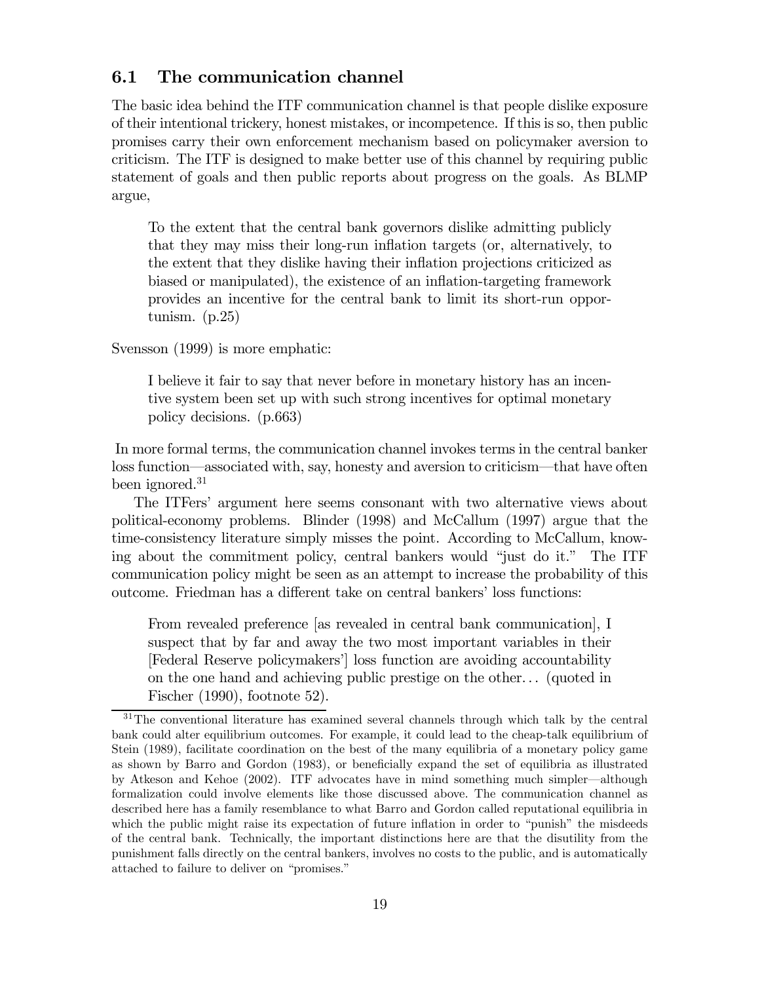## 6.1 The communication channel

The basic idea behind the ITF communication channel is that people dislike exposure of their intentional trickery, honest mistakes, or incompetence. If this is so, then public promises carry their own enforcement mechanism based on policymaker aversion to criticism. The ITF is designed to make better use of this channel by requiring public statement of goals and then public reports about progress on the goals. As BLMP argue,

To the extent that the central bank governors dislike admitting publicly that they may miss their long-run inflation targets (or, alternatively, to the extent that they dislike having their inflation projections criticized as biased or manipulated), the existence of an inflation-targeting framework provides an incentive for the central bank to limit its short-run opportunism. (p.25)

Svensson (1999) is more emphatic:

I believe it fair to say that never before in monetary history has an incentive system been set up with such strong incentives for optimal monetary policy decisions. (p.663)

In more formal terms, the communication channel invokes terms in the central banker loss function–associated with, say, honesty and aversion to criticism–that have often been ignored. $31$ 

The ITFers' argument here seems consonant with two alternative views about political-economy problems. Blinder (1998) and McCallum (1997) argue that the time-consistency literature simply misses the point. According to McCallum, knowing about the commitment policy, central bankers would "just do it." The ITF communication policy might be seen as an attempt to increase the probability of this outcome. Friedman has a different take on central bankers' loss functions:

From revealed preference [as revealed in central bank communication], I suspect that by far and away the two most important variables in their [Federal Reserve policymakers'] loss function are avoiding accountability on the one hand and achieving public prestige on the other. . . (quoted in Fischer (1990), footnote 52).

<sup>&</sup>lt;sup>31</sup>The conventional literature has examined several channels through which talk by the central bank could alter equilibrium outcomes. For example, it could lead to the cheap-talk equilibrium of Stein (1989), facilitate coordination on the best of the many equilibria of a monetary policy game as shown by Barro and Gordon (1983), or beneficially expand the set of equilibria as illustrated by Atkeson and Kehoe (2002). ITF advocates have in mind something much simpler–although formalization could involve elements like those discussed above. The communication channel as described here has a family resemblance to what Barro and Gordon called reputational equilibria in which the public might raise its expectation of future inflation in order to "punish" the misdeeds of the central bank. Technically, the important distinctions here are that the disutility from the punishment falls directly on the central bankers, involves no costs to the public, and is automatically attached to failure to deliver on "promises."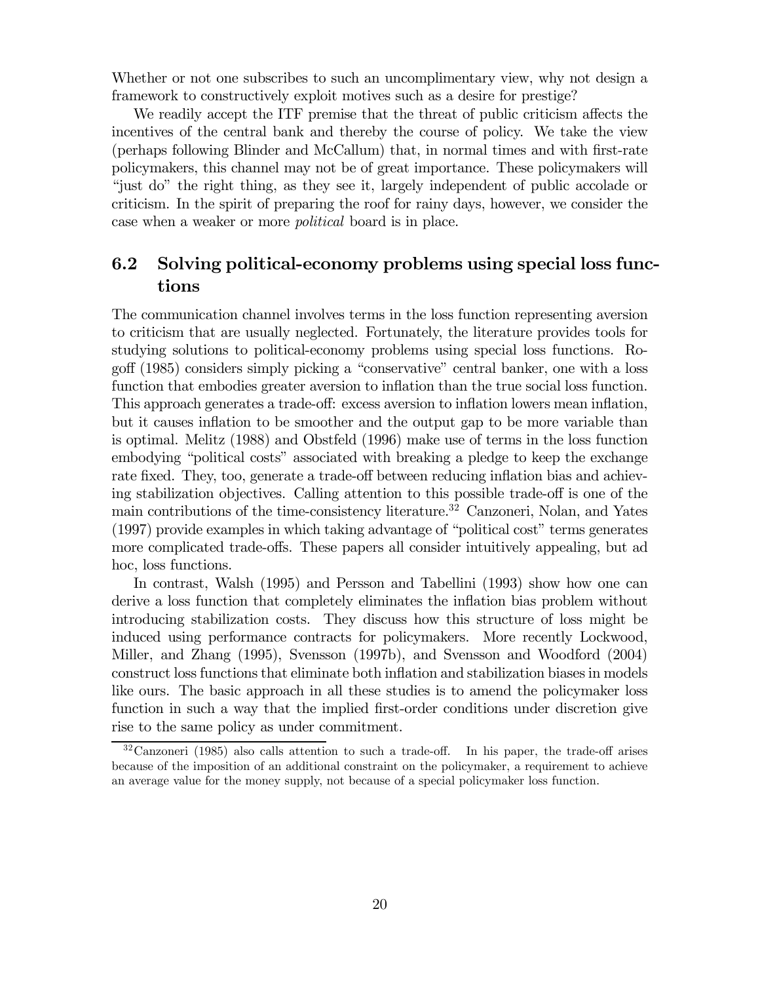Whether or not one subscribes to such an uncomplimentary view, why not design a framework to constructively exploit motives such as a desire for prestige?

We readily accept the ITF premise that the threat of public criticism affects the incentives of the central bank and thereby the course of policy. We take the view (perhaps following Blinder and McCallum) that, in normal times and with first-rate policymakers, this channel may not be of great importance. These policymakers will "just do" the right thing, as they see it, largely independent of public accolade or criticism. In the spirit of preparing the roof for rainy days, however, we consider the case when a weaker or more political board is in place.

# 6.2 Solving political-economy problems using special loss functions

The communication channel involves terms in the loss function representing aversion to criticism that are usually neglected. Fortunately, the literature provides tools for studying solutions to political-economy problems using special loss functions. Rogoff (1985) considers simply picking a "conservative" central banker, one with a loss function that embodies greater aversion to inflation than the true social loss function. This approach generates a trade-off: excess aversion to inflation lowers mean inflation, but it causes inflation to be smoother and the output gap to be more variable than is optimal. Melitz (1988) and Obstfeld (1996) make use of terms in the loss function embodying "political costs" associated with breaking a pledge to keep the exchange rate fixed. They, too, generate a trade-off between reducing inflation bias and achieving stabilization objectives. Calling attention to this possible trade-off is one of the main contributions of the time-consistency literature.32 Canzoneri, Nolan, and Yates (1997) provide examples in which taking advantage of "political cost" terms generates more complicated trade-offs. These papers all consider intuitively appealing, but ad hoc, loss functions.

In contrast, Walsh (1995) and Persson and Tabellini (1993) show how one can derive a loss function that completely eliminates the inflation bias problem without introducing stabilization costs. They discuss how this structure of loss might be induced using performance contracts for policymakers. More recently Lockwood, Miller, and Zhang (1995), Svensson (1997b), and Svensson and Woodford (2004) construct loss functions that eliminate both inflation and stabilization biases in models like ours. The basic approach in all these studies is to amend the policymaker loss function in such a way that the implied first-order conditions under discretion give rise to the same policy as under commitment.

<sup>32</sup>Canzoneri (1985) also calls attention to such a trade-off. In his paper, the trade-off arises because of the imposition of an additional constraint on the policymaker, a requirement to achieve an average value for the money supply, not because of a special policymaker loss function.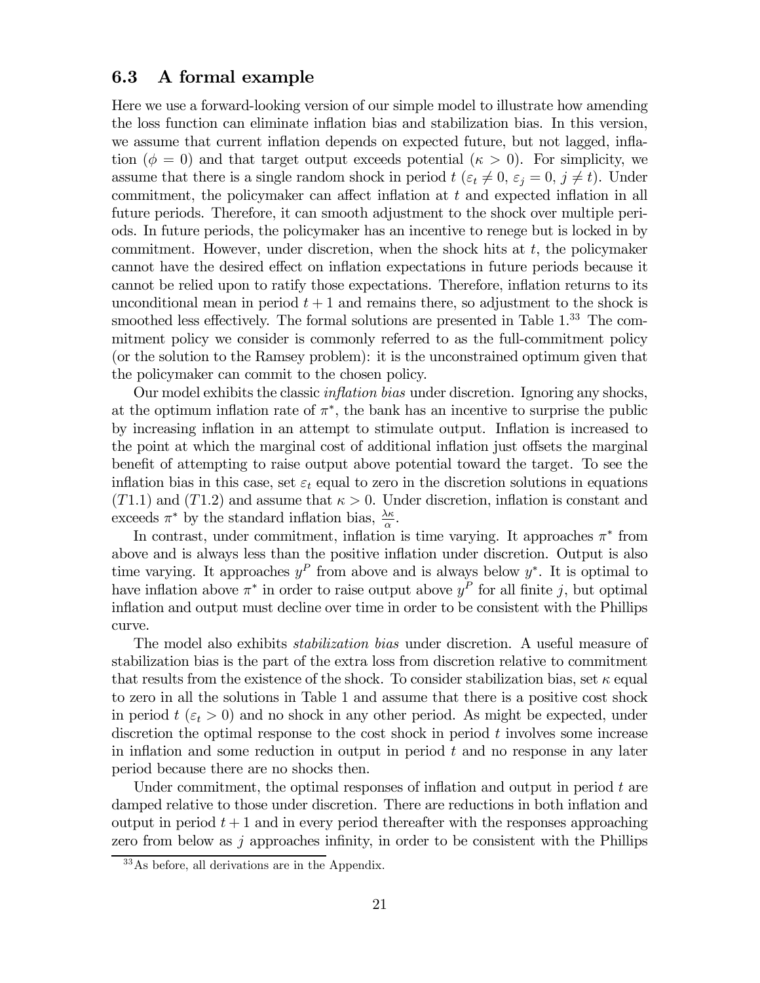### 6.3 A formal example

Here we use a forward-looking version of our simple model to illustrate how amending the loss function can eliminate inflation bias and stabilization bias. In this version, we assume that current inflation depends on expected future, but not lagged, inflation ( $\phi = 0$ ) and that target output exceeds potential ( $\kappa > 0$ ). For simplicity, we assume that there is a single random shock in period  $t$  ( $\varepsilon_t \neq 0$ ,  $\varepsilon_j = 0$ ,  $j \neq t$ ). Under commitment, the policymaker can affect inflation at t and expected inflation in all future periods. Therefore, it can smooth adjustment to the shock over multiple periods. In future periods, the policymaker has an incentive to renege but is locked in by commitment. However, under discretion, when the shock hits at  $t$ , the policymaker cannot have the desired effect on inflation expectations in future periods because it cannot be relied upon to ratify those expectations. Therefore, inflation returns to its unconditional mean in period  $t + 1$  and remains there, so adjustment to the shock is smoothed less effectively. The formal solutions are presented in Table 1.<sup>33</sup> The commitment policy we consider is commonly referred to as the full-commitment policy (or the solution to the Ramsey problem): it is the unconstrained optimum given that the policymaker can commit to the chosen policy.

Our model exhibits the classic inflation bias under discretion. Ignoring any shocks, at the optimum inflation rate of  $\pi^*$ , the bank has an incentive to surprise the public by increasing inflation in an attempt to stimulate output. Inflation is increased to the point at which the marginal cost of additional inflation just offsets the marginal benefit of attempting to raise output above potential toward the target. To see the inflation bias in this case, set  $\varepsilon_t$  equal to zero in the discretion solutions in equations  $(T1.1)$  and  $(T1.2)$  and assume that  $\kappa > 0$ . Under discretion, inflation is constant and exceeds  $\pi^*$  by the standard inflation bias,  $\frac{\lambda \kappa}{\alpha}$ .

In contrast, under commitment, inflation is time varying. It approaches  $\pi^*$  from above and is always less than the positive inflation under discretion. Output is also time varying. It approaches  $y^P$  from above and is always below  $y^*$ . It is optimal to have inflation above  $\pi^*$  in order to raise output above  $y^P$  for all finite j, but optimal inflation and output must decline over time in order to be consistent with the Phillips curve.

The model also exhibits stabilization bias under discretion. A useful measure of stabilization bias is the part of the extra loss from discretion relative to commitment that results from the existence of the shock. To consider stabilization bias, set  $\kappa$  equal to zero in all the solutions in Table 1 and assume that there is a positive cost shock in period  $t \ (\varepsilon_t > 0)$  and no shock in any other period. As might be expected, under discretion the optimal response to the cost shock in period  $t$  involves some increase in inflation and some reduction in output in period  $t$  and no response in any later period because there are no shocks then.

Under commitment, the optimal responses of inflation and output in period  $t$  are damped relative to those under discretion. There are reductions in both inflation and output in period  $t + 1$  and in every period thereafter with the responses approaching zero from below as  $j$  approaches infinity, in order to be consistent with the Phillips

<sup>33</sup>As before, all derivations are in the Appendix.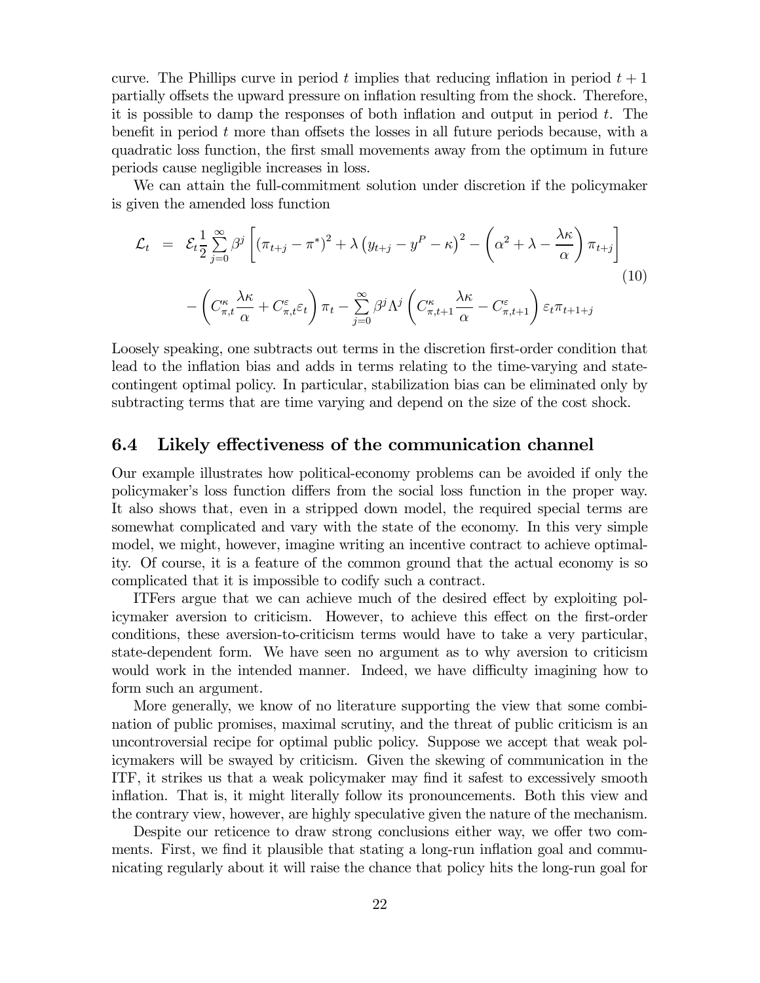curve. The Phillips curve in period t implies that reducing inflation in period  $t + 1$ partially offsets the upward pressure on inflation resulting from the shock. Therefore, it is possible to damp the responses of both inflation and output in period  $t$ . The benefit in period  $t$  more than offsets the losses in all future periods because, with a quadratic loss function, the first small movements away from the optimum in future periods cause negligible increases in loss.

We can attain the full-commitment solution under discretion if the policymaker is given the amended loss function

$$
\mathcal{L}_{t} = \mathcal{E}_{t} \frac{1}{2} \sum_{j=0}^{\infty} \beta^{j} \left[ \left( \pi_{t+j} - \pi^{*} \right)^{2} + \lambda \left( y_{t+j} - y^{P} - \kappa \right)^{2} - \left( \alpha^{2} + \lambda - \frac{\lambda \kappa}{\alpha} \right) \pi_{t+j} \right] \tag{10}
$$
\n
$$
- \left( C_{\pi, t}^{\kappa} \frac{\lambda \kappa}{\alpha} + C_{\pi, t}^{\varepsilon} \varepsilon_{t} \right) \pi_{t} - \sum_{j=0}^{\infty} \beta^{j} \Lambda^{j} \left( C_{\pi, t+1}^{\kappa} \frac{\lambda \kappa}{\alpha} - C_{\pi, t+1}^{\varepsilon} \right) \varepsilon_{t} \pi_{t+1+j}
$$

Loosely speaking, one subtracts out terms in the discretion first-order condition that lead to the inflation bias and adds in terms relating to the time-varying and statecontingent optimal policy. In particular, stabilization bias can be eliminated only by subtracting terms that are time varying and depend on the size of the cost shock.

#### 6.4 Likely effectiveness of the communication channel

Our example illustrates how political-economy problems can be avoided if only the policymaker's loss function differs from the social loss function in the proper way. It also shows that, even in a stripped down model, the required special terms are somewhat complicated and vary with the state of the economy. In this very simple model, we might, however, imagine writing an incentive contract to achieve optimality. Of course, it is a feature of the common ground that the actual economy is so complicated that it is impossible to codify such a contract.

ITFers argue that we can achieve much of the desired effect by exploiting policymaker aversion to criticism. However, to achieve this effect on the first-order conditions, these aversion-to-criticism terms would have to take a very particular, state-dependent form. We have seen no argument as to why aversion to criticism would work in the intended manner. Indeed, we have difficulty imagining how to form such an argument.

More generally, we know of no literature supporting the view that some combination of public promises, maximal scrutiny, and the threat of public criticism is an uncontroversial recipe for optimal public policy. Suppose we accept that weak policymakers will be swayed by criticism. Given the skewing of communication in the ITF, it strikes us that a weak policymaker may find it safest to excessively smooth inflation. That is, it might literally follow its pronouncements. Both this view and the contrary view, however, are highly speculative given the nature of the mechanism.

Despite our reticence to draw strong conclusions either way, we offer two comments. First, we find it plausible that stating a long-run inflation goal and communicating regularly about it will raise the chance that policy hits the long-run goal for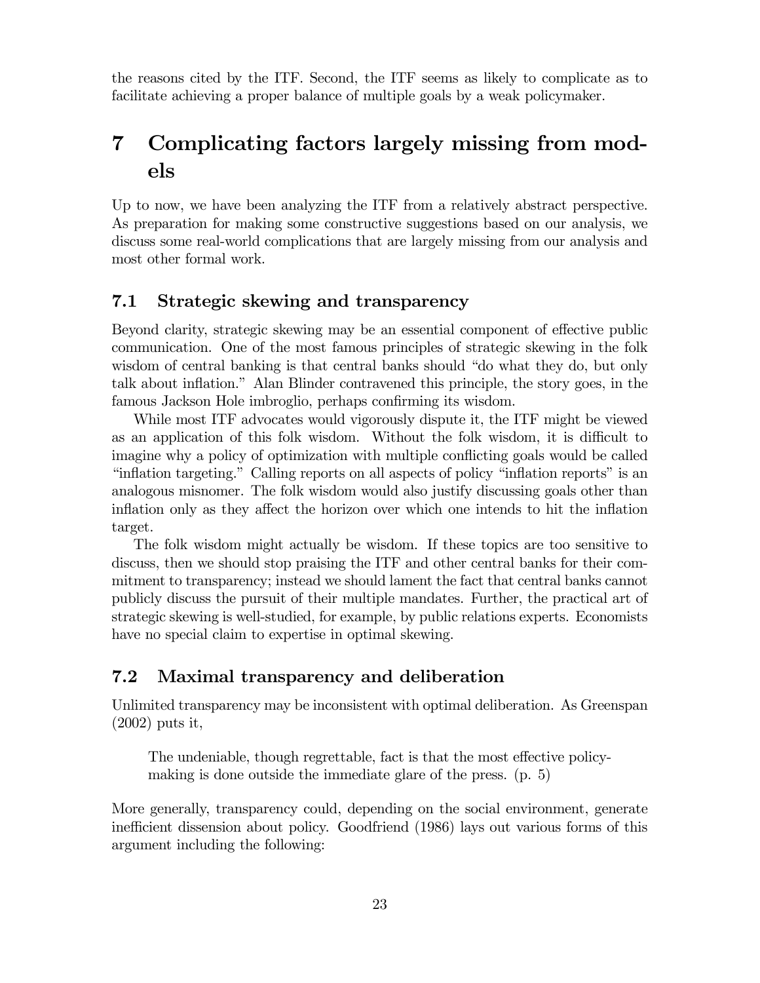the reasons cited by the ITF. Second, the ITF seems as likely to complicate as to facilitate achieving a proper balance of multiple goals by a weak policymaker.

# 7 Complicating factors largely missing from models

Up to now, we have been analyzing the ITF from a relatively abstract perspective. As preparation for making some constructive suggestions based on our analysis, we discuss some real-world complications that are largely missing from our analysis and most other formal work.

## 7.1 Strategic skewing and transparency

Beyond clarity, strategic skewing may be an essential component of effective public communication. One of the most famous principles of strategic skewing in the folk wisdom of central banking is that central banks should "do what they do, but only talk about inflation." Alan Blinder contravened this principle, the story goes, in the famous Jackson Hole imbroglio, perhaps confirming its wisdom.

While most ITF advocates would vigorously dispute it, the ITF might be viewed as an application of this folk wisdom. Without the folk wisdom, it is difficult to imagine why a policy of optimization with multiple conflicting goals would be called "inflation targeting." Calling reports on all aspects of policy "inflation reports" is an analogous misnomer. The folk wisdom would also justify discussing goals other than inflation only as they affect the horizon over which one intends to hit the inflation target.

The folk wisdom might actually be wisdom. If these topics are too sensitive to discuss, then we should stop praising the ITF and other central banks for their commitment to transparency; instead we should lament the fact that central banks cannot publicly discuss the pursuit of their multiple mandates. Further, the practical art of strategic skewing is well-studied, for example, by public relations experts. Economists have no special claim to expertise in optimal skewing.

## 7.2 Maximal transparency and deliberation

Unlimited transparency may be inconsistent with optimal deliberation. As Greenspan (2002) puts it,

The undeniable, though regrettable, fact is that the most effective policymaking is done outside the immediate glare of the press. (p. 5)

More generally, transparency could, depending on the social environment, generate inefficient dissension about policy. Goodfriend (1986) lays out various forms of this argument including the following: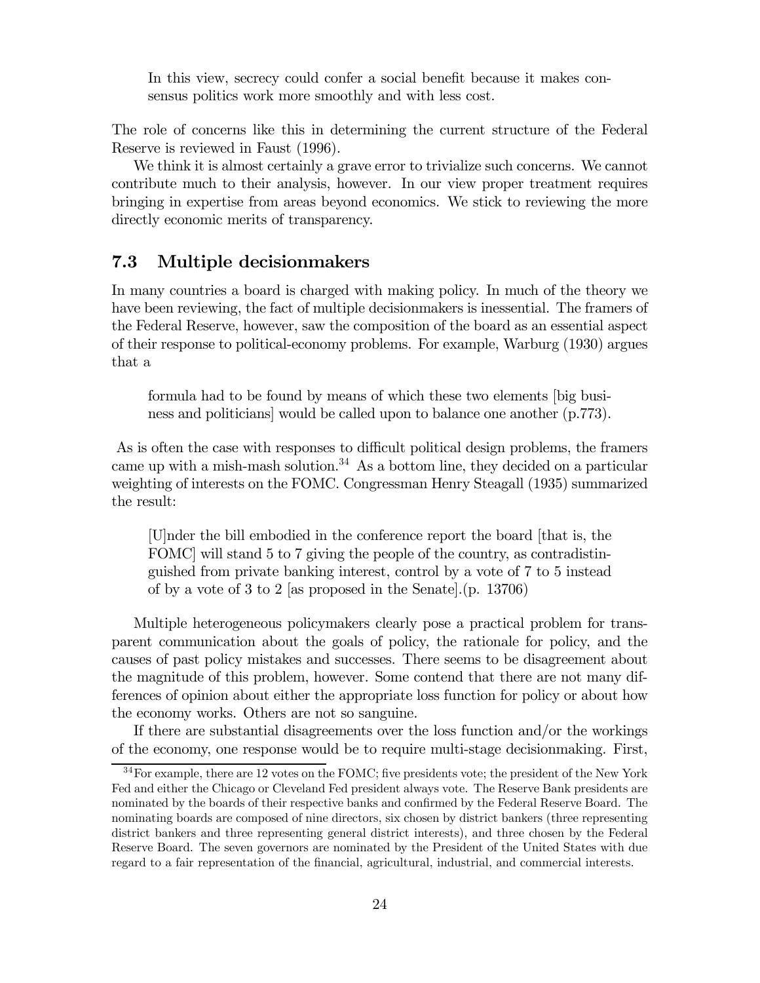In this view, secrecy could confer a social benefit because it makes consensus politics work more smoothly and with less cost.

The role of concerns like this in determining the current structure of the Federal Reserve is reviewed in Faust (1996).

We think it is almost certainly a grave error to trivialize such concerns. We cannot contribute much to their analysis, however. In our view proper treatment requires bringing in expertise from areas beyond economics. We stick to reviewing the more directly economic merits of transparency.

## 7.3 Multiple decisionmakers

In many countries a board is charged with making policy. In much of the theory we have been reviewing, the fact of multiple decisionmakers is inessential. The framers of the Federal Reserve, however, saw the composition of the board as an essential aspect of their response to political-economy problems. For example, Warburg (1930) argues that a

formula had to be found by means of which these two elements [big business and politicians] would be called upon to balance one another (p.773).

As is often the case with responses to difficult political design problems, the framers came up with a mish-mash solution.<sup>34</sup> As a bottom line, they decided on a particular weighting of interests on the FOMC. Congressman Henry Steagall (1935) summarized the result:

[U]nder the bill embodied in the conference report the board [that is, the FOMC] will stand 5 to 7 giving the people of the country, as contradistinguished from private banking interest, control by a vote of 7 to 5 instead of by a vote of 3 to 2 [as proposed in the Senate].(p. 13706)

Multiple heterogeneous policymakers clearly pose a practical problem for transparent communication about the goals of policy, the rationale for policy, and the causes of past policy mistakes and successes. There seems to be disagreement about the magnitude of this problem, however. Some contend that there are not many differences of opinion about either the appropriate loss function for policy or about how the economy works. Others are not so sanguine.

If there are substantial disagreements over the loss function and/or the workings of the economy, one response would be to require multi-stage decisionmaking. First,

 $34$  For example, there are 12 votes on the FOMC; five presidents vote; the president of the New York Fed and either the Chicago or Cleveland Fed president always vote. The Reserve Bank presidents are nominated by the boards of their respective banks and confirmed by the Federal Reserve Board. The nominating boards are composed of nine directors, six chosen by district bankers (three representing district bankers and three representing general district interests), and three chosen by the Federal Reserve Board. The seven governors are nominated by the President of the United States with due regard to a fair representation of the financial, agricultural, industrial, and commercial interests.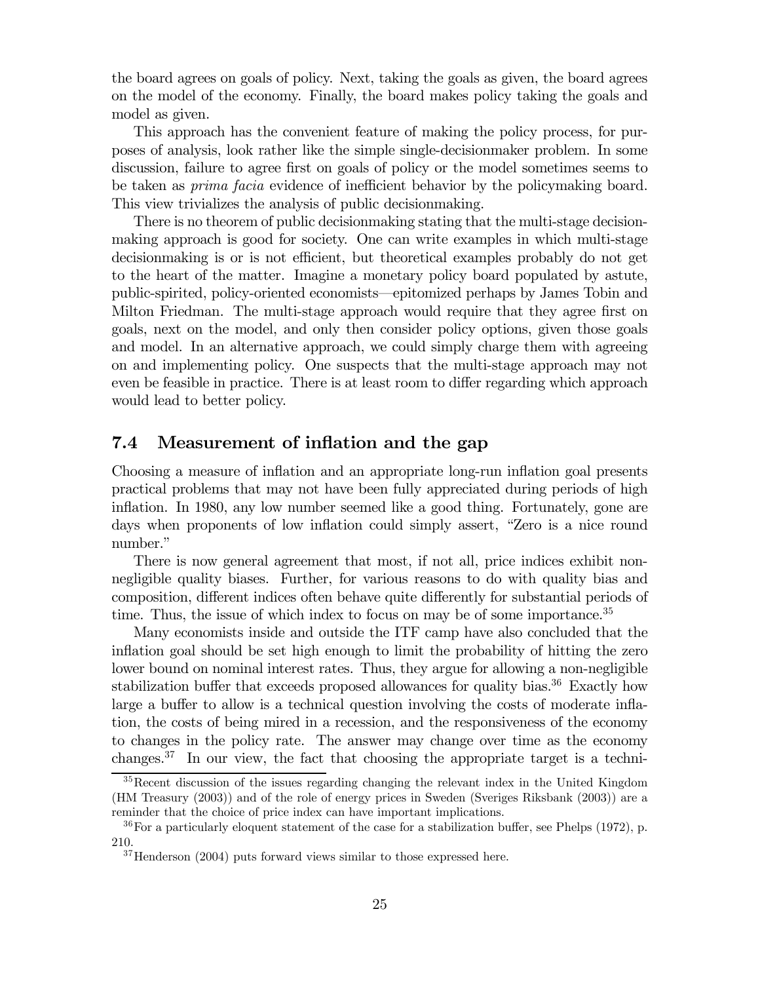the board agrees on goals of policy. Next, taking the goals as given, the board agrees on the model of the economy. Finally, the board makes policy taking the goals and model as given.

This approach has the convenient feature of making the policy process, for purposes of analysis, look rather like the simple single-decisionmaker problem. In some discussion, failure to agree first on goals of policy or the model sometimes seems to be taken as prima facia evidence of inefficient behavior by the policymaking board. This view trivializes the analysis of public decisionmaking.

There is no theorem of public decisionmaking stating that the multi-stage decisionmaking approach is good for society. One can write examples in which multi-stage decisionmaking is or is not efficient, but theoretical examples probably do not get to the heart of the matter. Imagine a monetary policy board populated by astute, public-spirited, policy-oriented economists–epitomized perhaps by James Tobin and Milton Friedman. The multi-stage approach would require that they agree first on goals, next on the model, and only then consider policy options, given those goals and model. In an alternative approach, we could simply charge them with agreeing on and implementing policy. One suspects that the multi-stage approach may not even be feasible in practice. There is at least room to differ regarding which approach would lead to better policy.

#### 7.4 Measurement of inflation and the gap

Choosing a measure of inflation and an appropriate long-run inflation goal presents practical problems that may not have been fully appreciated during periods of high inflation. In 1980, any low number seemed like a good thing. Fortunately, gone are days when proponents of low inflation could simply assert, "Zero is a nice round number."

There is now general agreement that most, if not all, price indices exhibit nonnegligible quality biases. Further, for various reasons to do with quality bias and composition, different indices often behave quite differently for substantial periods of time. Thus, the issue of which index to focus on may be of some importance.<sup>35</sup>

Many economists inside and outside the ITF camp have also concluded that the inflation goal should be set high enough to limit the probability of hitting the zero lower bound on nominal interest rates. Thus, they argue for allowing a non-negligible stabilization buffer that exceeds proposed allowances for quality bias.<sup>36</sup> Exactly how large a buffer to allow is a technical question involving the costs of moderate inflation, the costs of being mired in a recession, and the responsiveness of the economy to changes in the policy rate. The answer may change over time as the economy changes.37 In our view, the fact that choosing the appropriate target is a techni-

<sup>&</sup>lt;sup>35</sup>Recent discussion of the issues regarding changing the relevant index in the United Kingdom (HM Treasury (2003)) and of the role of energy prices in Sweden (Sveriges Riksbank (2003)) are a reminder that the choice of price index can have important implications.

 $36$  For a particularly eloquent statement of the case for a stabilization buffer, see Phelps (1972), p. 210.

 $37$ Henderson (2004) puts forward views similar to those expressed here.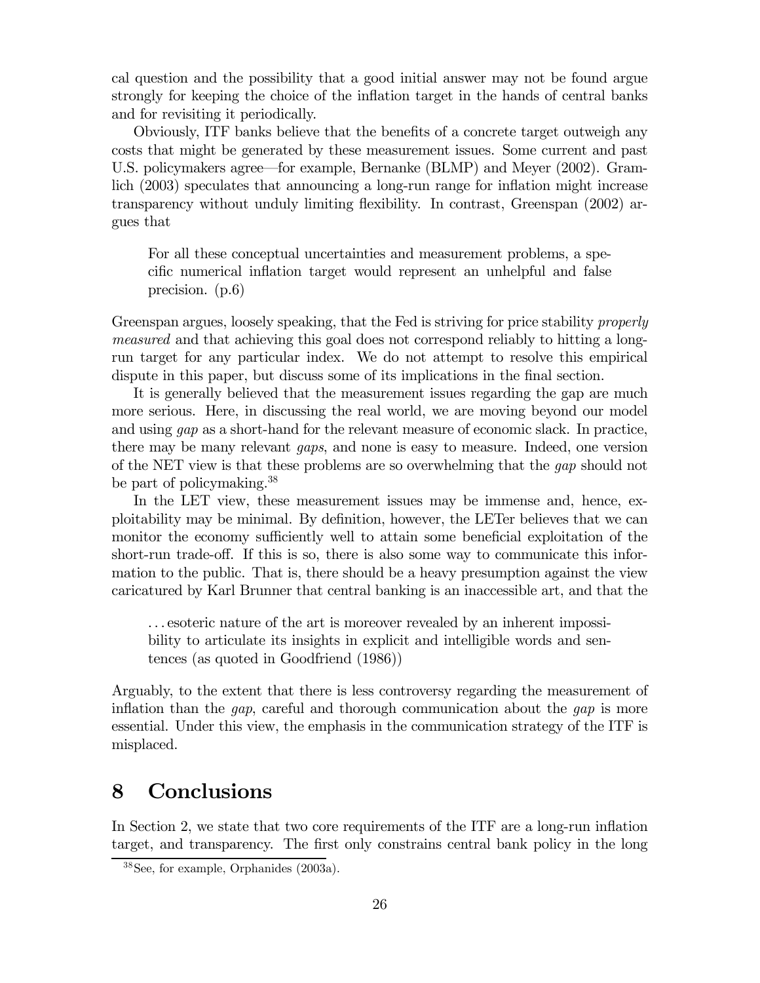cal question and the possibility that a good initial answer may not be found argue strongly for keeping the choice of the inflation target in the hands of central banks and for revisiting it periodically.

Obviously, ITF banks believe that the benefits of a concrete target outweigh any costs that might be generated by these measurement issues. Some current and past U.S. policymakers agree–for example, Bernanke (BLMP) and Meyer (2002). Gramlich (2003) speculates that announcing a long-run range for inflation might increase transparency without unduly limiting flexibility. In contrast, Greenspan (2002) argues that

For all these conceptual uncertainties and measurement problems, a specific numerical inflation target would represent an unhelpful and false precision. (p.6)

Greenspan argues, loosely speaking, that the Fed is striving for price stability *properly* measured and that achieving this goal does not correspond reliably to hitting a longrun target for any particular index. We do not attempt to resolve this empirical dispute in this paper, but discuss some of its implications in the final section.

It is generally believed that the measurement issues regarding the gap are much more serious. Here, in discussing the real world, we are moving beyond our model and using gap as a short-hand for the relevant measure of economic slack. In practice, there may be many relevant gaps, and none is easy to measure. Indeed, one version of the NET view is that these problems are so overwhelming that the gap should not be part of policymaking.38

In the LET view, these measurement issues may be immense and, hence, exploitability may be minimal. By definition, however, the LETer believes that we can monitor the economy sufficiently well to attain some beneficial exploitation of the short-run trade-off. If this is so, there is also some way to communicate this information to the public. That is, there should be a heavy presumption against the view caricatured by Karl Brunner that central banking is an inaccessible art, and that the

. . . esoteric nature of the art is moreover revealed by an inherent impossibility to articulate its insights in explicit and intelligible words and sentences (as quoted in Goodfriend (1986))

Arguably, to the extent that there is less controversy regarding the measurement of inflation than the *gap*, careful and thorough communication about the *gap* is more essential. Under this view, the emphasis in the communication strategy of the ITF is misplaced.

# 8 Conclusions

In Section 2, we state that two core requirements of the ITF are a long-run inflation target, and transparency. The first only constrains central bank policy in the long

<sup>38</sup>See, for example, Orphanides (2003a).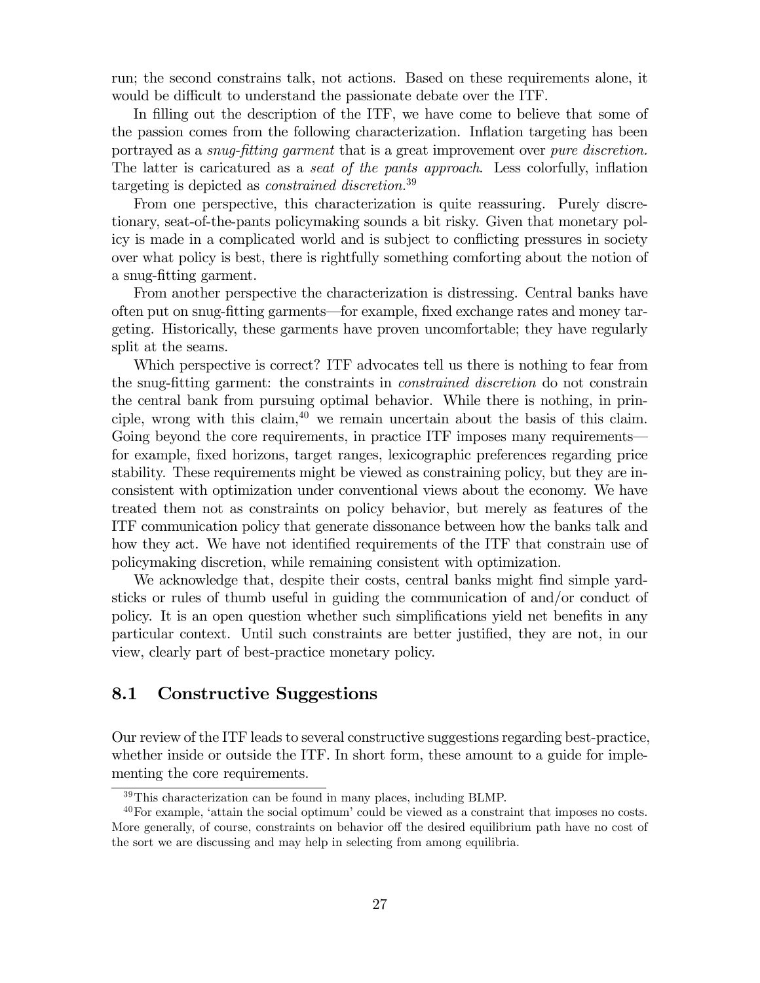run; the second constrains talk, not actions. Based on these requirements alone, it would be difficult to understand the passionate debate over the ITF.

In filling out the description of the ITF, we have come to believe that some of the passion comes from the following characterization. Inflation targeting has been portrayed as a *snug-fitting garment* that is a great improvement over *pure discretion*. The latter is caricatured as a seat of the pants approach. Less colorfully, inflation targeting is depicted as constrained discretion.<sup>39</sup>

From one perspective, this characterization is quite reassuring. Purely discretionary, seat-of-the-pants policymaking sounds a bit risky. Given that monetary policy is made in a complicated world and is subject to conflicting pressures in society over what policy is best, there is rightfully something comforting about the notion of a snug-fitting garment.

From another perspective the characterization is distressing. Central banks have often put on snug-fitting garments–for example, fixed exchange rates and money targeting. Historically, these garments have proven uncomfortable; they have regularly split at the seams.

Which perspective is correct? ITF advocates tell us there is nothing to fear from the snug-fitting garment: the constraints in constrained discretion do not constrain the central bank from pursuing optimal behavior. While there is nothing, in principle, wrong with this claim,  $40$  we remain uncertain about the basis of this claim. Going beyond the core requirements, in practice ITF imposes many requirements– for example, fixed horizons, target ranges, lexicographic preferences regarding price stability. These requirements might be viewed as constraining policy, but they are inconsistent with optimization under conventional views about the economy. We have treated them not as constraints on policy behavior, but merely as features of the ITF communication policy that generate dissonance between how the banks talk and how they act. We have not identified requirements of the ITF that constrain use of policymaking discretion, while remaining consistent with optimization.

We acknowledge that, despite their costs, central banks might find simple yardsticks or rules of thumb useful in guiding the communication of and/or conduct of policy. It is an open question whether such simplifications yield net benefits in any particular context. Until such constraints are better justified, they are not, in our view, clearly part of best-practice monetary policy.

### 8.1 Constructive Suggestions

Our review of the ITF leads to several constructive suggestions regarding best-practice, whether inside or outside the ITF. In short form, these amount to a guide for implementing the core requirements.

<sup>39</sup>This characterization can be found in many places, including BLMP.

<sup>40</sup>For example, 'attain the social optimum' could be viewed as a constraint that imposes no costs. More generally, of course, constraints on behavior off the desired equilibrium path have no cost of the sort we are discussing and may help in selecting from among equilibria.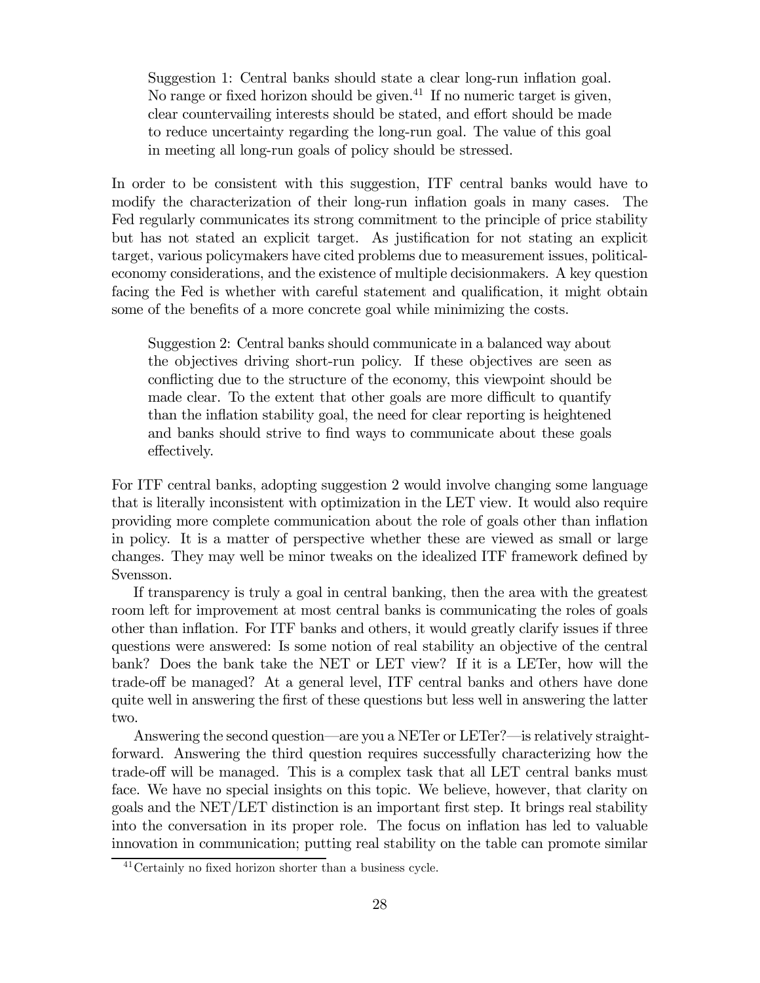Suggestion 1: Central banks should state a clear long-run inflation goal. No range or fixed horizon should be given.<sup>41</sup> If no numeric target is given, clear countervailing interests should be stated, and effort should be made to reduce uncertainty regarding the long-run goal. The value of this goal in meeting all long-run goals of policy should be stressed.

In order to be consistent with this suggestion, ITF central banks would have to modify the characterization of their long-run inflation goals in many cases. The Fed regularly communicates its strong commitment to the principle of price stability but has not stated an explicit target. As justification for not stating an explicit target, various policymakers have cited problems due to measurement issues, politicaleconomy considerations, and the existence of multiple decisionmakers. A key question facing the Fed is whether with careful statement and qualification, it might obtain some of the benefits of a more concrete goal while minimizing the costs.

Suggestion 2: Central banks should communicate in a balanced way about the objectives driving short-run policy. If these objectives are seen as conflicting due to the structure of the economy, this viewpoint should be made clear. To the extent that other goals are more difficult to quantify than the inflation stability goal, the need for clear reporting is heightened and banks should strive to find ways to communicate about these goals effectively.

For ITF central banks, adopting suggestion 2 would involve changing some language that is literally inconsistent with optimization in the LET view. It would also require providing more complete communication about the role of goals other than inflation in policy. It is a matter of perspective whether these are viewed as small or large changes. They may well be minor tweaks on the idealized ITF framework defined by Svensson.

If transparency is truly a goal in central banking, then the area with the greatest room left for improvement at most central banks is communicating the roles of goals other than inflation. For ITF banks and others, it would greatly clarify issues if three questions were answered: Is some notion of real stability an objective of the central bank? Does the bank take the NET or LET view? If it is a LETer, how will the trade-off be managed? At a general level, ITF central banks and others have done quite well in answering the first of these questions but less well in answering the latter two.

Answering the second question—are you a NETer or LETer?—is relatively straightforward. Answering the third question requires successfully characterizing how the trade-off will be managed. This is a complex task that all LET central banks must face. We have no special insights on this topic. We believe, however, that clarity on goals and the NET/LET distinction is an important first step. It brings real stability into the conversation in its proper role. The focus on inflation has led to valuable innovation in communication; putting real stability on the table can promote similar

<sup>41</sup>Certainly no fixed horizon shorter than a business cycle.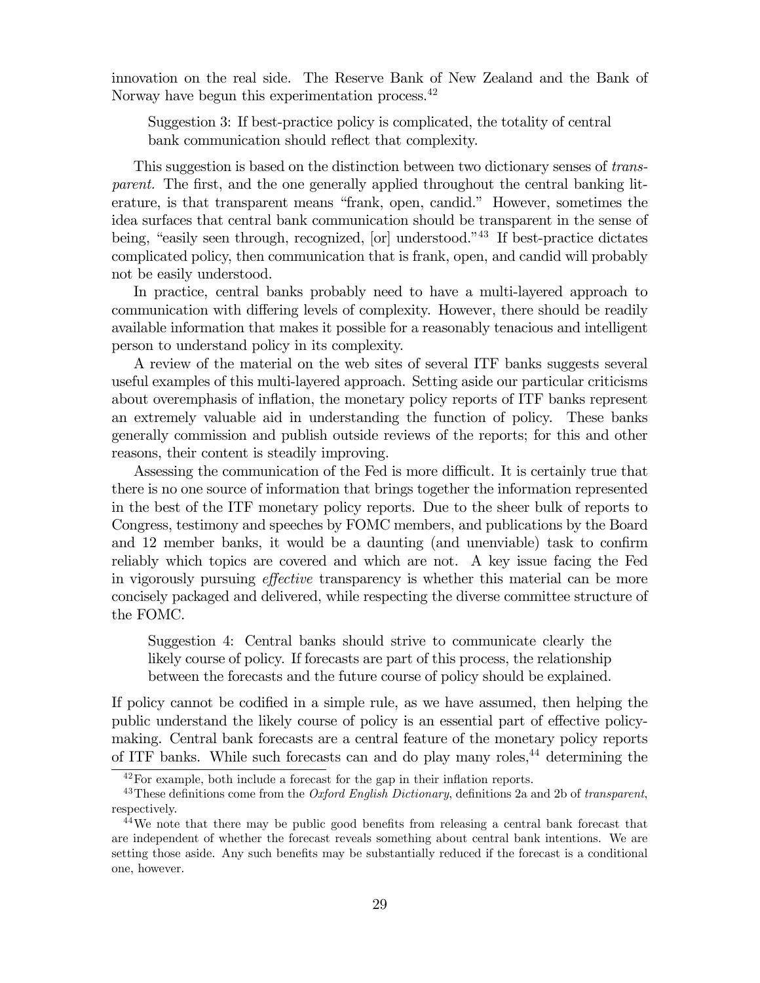innovation on the real side. The Reserve Bank of New Zealand and the Bank of Norway have begun this experimentation process.<sup>42</sup>

Suggestion 3: If best-practice policy is complicated, the totality of central bank communication should reflect that complexity.

This suggestion is based on the distinction between two dictionary senses of transparent. The first, and the one generally applied throughout the central banking literature, is that transparent means "frank, open, candid." However, sometimes the idea surfaces that central bank communication should be transparent in the sense of being, "easily seen through, recognized, [or] understood."<sup>43</sup> If best-practice dictates complicated policy, then communication that is frank, open, and candid will probably not be easily understood.

In practice, central banks probably need to have a multi-layered approach to communication with differing levels of complexity. However, there should be readily available information that makes it possible for a reasonably tenacious and intelligent person to understand policy in its complexity.

A review of the material on the web sites of several ITF banks suggests several useful examples of this multi-layered approach. Setting aside our particular criticisms about overemphasis of inflation, the monetary policy reports of ITF banks represent an extremely valuable aid in understanding the function of policy. These banks generally commission and publish outside reviews of the reports; for this and other reasons, their content is steadily improving.

Assessing the communication of the Fed is more difficult. It is certainly true that there is no one source of information that brings together the information represented in the best of the ITF monetary policy reports. Due to the sheer bulk of reports to Congress, testimony and speeches by FOMC members, and publications by the Board and 12 member banks, it would be a daunting (and unenviable) task to confirm reliably which topics are covered and which are not. A key issue facing the Fed in vigorously pursuing effective transparency is whether this material can be more concisely packaged and delivered, while respecting the diverse committee structure of the FOMC.

Suggestion 4: Central banks should strive to communicate clearly the likely course of policy. If forecasts are part of this process, the relationship between the forecasts and the future course of policy should be explained.

If policy cannot be codified in a simple rule, as we have assumed, then helping the public understand the likely course of policy is an essential part of effective policymaking. Central bank forecasts are a central feature of the monetary policy reports of ITF banks. While such forecasts can and do play many roles,  $44$  determining the

<sup>42</sup>For example, both include a forecast for the gap in their inflation reports.

<sup>&</sup>lt;sup>43</sup>These definitions come from the *Oxford English Dictionary*, definitions 2a and 2b of transparent, respectively.

<sup>44</sup>We note that there may be public good benefits from releasing a central bank forecast that are independent of whether the forecast reveals something about central bank intentions. We are setting those aside. Any such benefits may be substantially reduced if the forecast is a conditional one, however.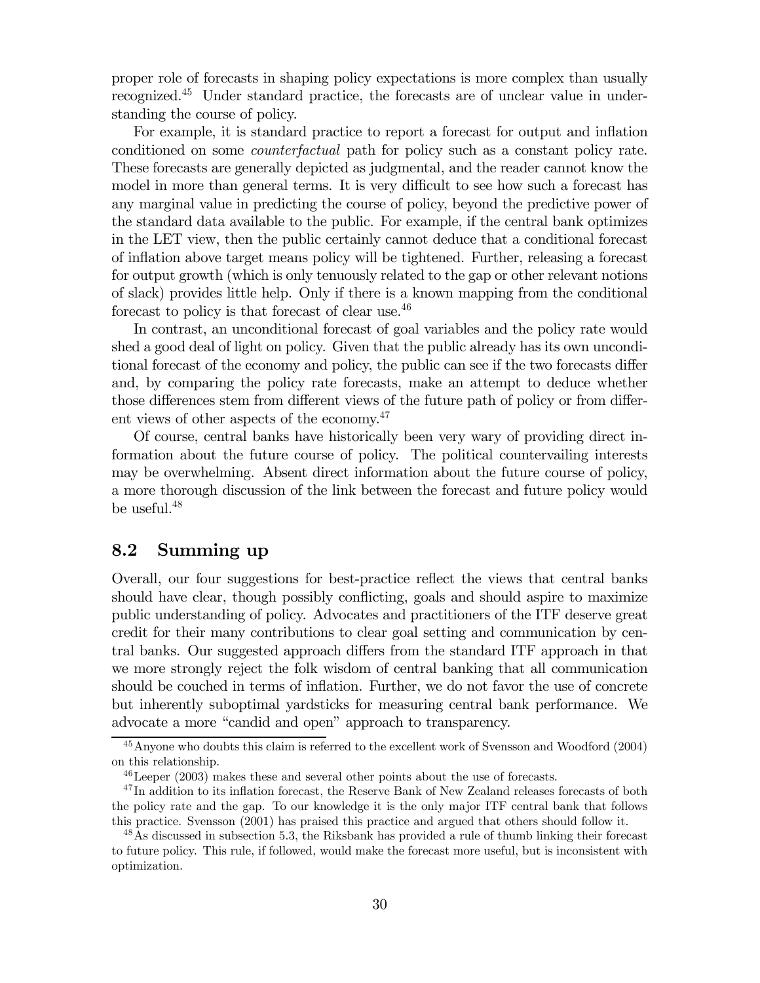proper role of forecasts in shaping policy expectations is more complex than usually recognized.45 Under standard practice, the forecasts are of unclear value in understanding the course of policy.

For example, it is standard practice to report a forecast for output and inflation conditioned on some counterfactual path for policy such as a constant policy rate. These forecasts are generally depicted as judgmental, and the reader cannot know the model in more than general terms. It is very difficult to see how such a forecast has any marginal value in predicting the course of policy, beyond the predictive power of the standard data available to the public. For example, if the central bank optimizes in the LET view, then the public certainly cannot deduce that a conditional forecast of inflation above target means policy will be tightened. Further, releasing a forecast for output growth (which is only tenuously related to the gap or other relevant notions of slack) provides little help. Only if there is a known mapping from the conditional forecast to policy is that forecast of clear use.<sup>46</sup>

In contrast, an unconditional forecast of goal variables and the policy rate would shed a good deal of light on policy. Given that the public already has its own unconditional forecast of the economy and policy, the public can see if the two forecasts differ and, by comparing the policy rate forecasts, make an attempt to deduce whether those differences stem from different views of the future path of policy or from different views of other aspects of the economy.<sup>47</sup>

Of course, central banks have historically been very wary of providing direct information about the future course of policy. The political countervailing interests may be overwhelming. Absent direct information about the future course of policy, a more thorough discussion of the link between the forecast and future policy would be useful.48

### 8.2 Summing up

Overall, our four suggestions for best-practice reflect the views that central banks should have clear, though possibly conflicting, goals and should aspire to maximize public understanding of policy. Advocates and practitioners of the ITF deserve great credit for their many contributions to clear goal setting and communication by central banks. Our suggested approach differs from the standard ITF approach in that we more strongly reject the folk wisdom of central banking that all communication should be couched in terms of inflation. Further, we do not favor the use of concrete but inherently suboptimal yardsticks for measuring central bank performance. We advocate a more "candid and open" approach to transparency.

<sup>45</sup>Anyone who doubts this claim is referred to the excellent work of Svensson and Woodford (2004) on this relationship.

<sup>46</sup>Leeper (2003) makes these and several other points about the use of forecasts.

<sup>&</sup>lt;sup>47</sup>In addition to its inflation forecast, the Reserve Bank of New Zealand releases forecasts of both the policy rate and the gap. To our knowledge it is the only major ITF central bank that follows this practice. Svensson (2001) has praised this practice and argued that others should follow it.

<sup>&</sup>lt;sup>48</sup>As discussed in subsection 5.3, the Riksbank has provided a rule of thumb linking their forecast to future policy. This rule, if followed, would make the forecast more useful, but is inconsistent with optimization.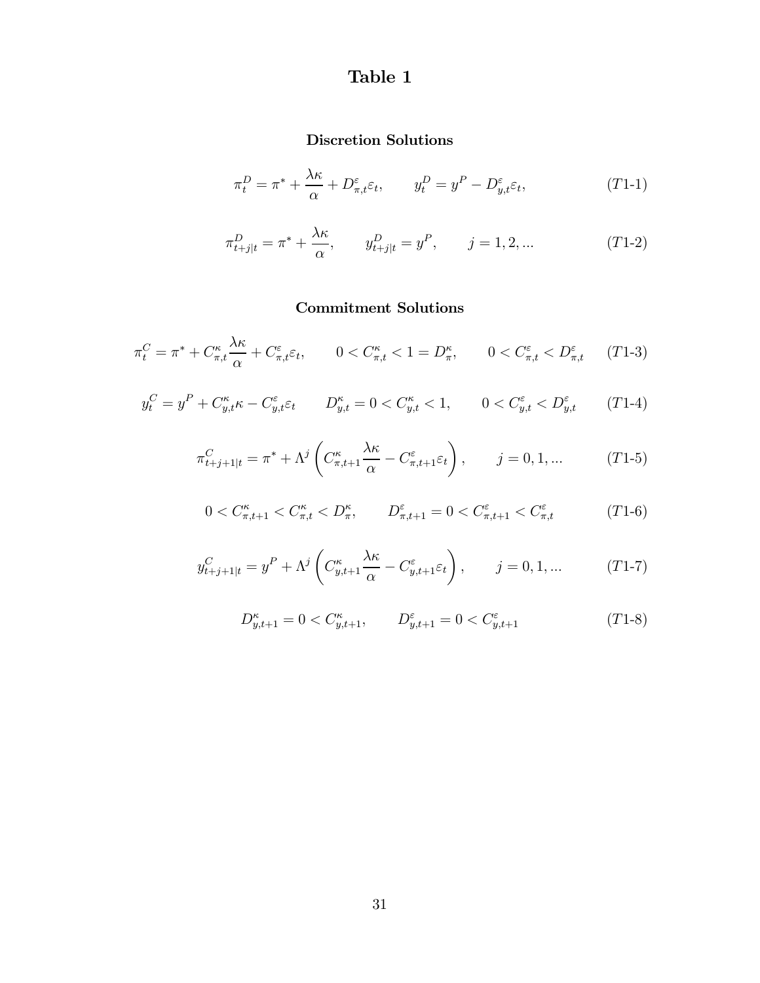# Table 1

# Discretion Solutions

$$
\pi_t^D = \pi^* + \frac{\lambda \kappa}{\alpha} + D_{\pi, t}^{\varepsilon} \varepsilon_t, \qquad y_t^D = y^P - D_{y, t}^{\varepsilon} \varepsilon_t,
$$
\n
$$
(T1-1)
$$

$$
\pi_{t+j|t}^D = \pi^* + \frac{\lambda \kappa}{\alpha}, \qquad y_{t+j|t}^D = y^P, \qquad j = 1, 2, ... \tag{T1-2}
$$

# Commitment Solutions

$$
\pi_t^C = \pi^* + C_{\pi,t}^\kappa \frac{\lambda \kappa}{\alpha} + C_{\pi,t}^\varepsilon \varepsilon_t, \qquad 0 < C_{\pi,t}^\kappa < 1 = D_\pi^\kappa, \qquad 0 < C_{\pi,t}^\varepsilon < D_{\pi,t}^\varepsilon \qquad (T1-3)
$$

$$
y_t^C = y^P + C_{y,t}^{\kappa} \kappa - C_{y,t}^{\varepsilon} \varepsilon_t \qquad D_{y,t}^{\kappa} = 0 < C_{y,t}^{\kappa} < 1, \qquad 0 < C_{y,t}^{\varepsilon} < D_{y,t}^{\varepsilon} \qquad (T1-4)
$$

$$
\pi_{t+j+1|t}^C = \pi^* + \Lambda^j \left( C_{\pi,t+1}^\kappa \frac{\lambda \kappa}{\alpha} - C_{\pi,t+1}^\varepsilon \varepsilon_t \right), \qquad j = 0, 1, \dots \tag{T1-5}
$$

$$
0 < C_{\pi,t+1}^{\kappa} < C_{\pi,t}^{\kappa} < D_{\pi}^{\kappa}, \qquad D_{\pi,t+1}^{\varepsilon} = 0 < C_{\pi,t+1}^{\varepsilon} < C_{\pi,t}^{\varepsilon} \tag{T1-6}
$$

$$
y_{t+j+1|t}^{C} = y^{P} + \Lambda^{j} \left( C_{y,t+1}^{\kappa} \frac{\lambda \kappa}{\alpha} - C_{y,t+1}^{\varepsilon} \varepsilon_{t} \right), \qquad j = 0, 1, ... \qquad (T1-7)
$$

$$
D^{\kappa}_{y,t+1}=0
$$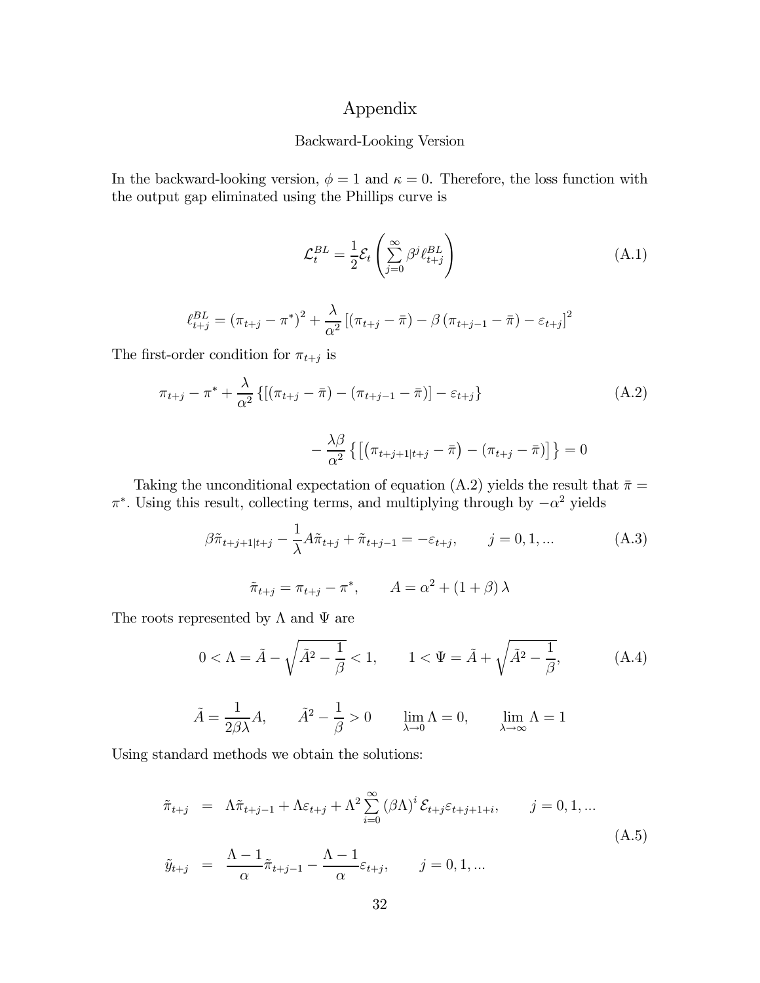## Appendix

#### Backward-Looking Version

In the backward-looking version,  $\phi = 1$  and  $\kappa = 0$ . Therefore, the loss function with the output gap eliminated using the Phillips curve is

$$
\mathcal{L}_t^{BL} = \frac{1}{2} \mathcal{E}_t \left( \sum_{j=0}^{\infty} \beta^j \ell_{t+j}^{BL} \right) \tag{A.1}
$$

$$
\ell_{t+j}^{BL} = (\pi_{t+j} - \pi^*)^2 + \frac{\lambda}{\alpha^2} [(\pi_{t+j} - \bar{\pi}) - \beta (\pi_{t+j-1} - \bar{\pi}) - \varepsilon_{t+j}]^2
$$

The first-order condition for  $\pi_{t+j}$  is

$$
\pi_{t+j} - \pi^* + \frac{\lambda}{\alpha^2} \{ [(\pi_{t+j} - \bar{\pi}) - (\pi_{t+j-1} - \bar{\pi})] - \varepsilon_{t+j} \}
$$
\n(A.2)

$$
-\frac{\lambda\beta}{\alpha^2}\left\{\left[\left(\pi_{t+j+1|t+j}-\bar{\pi}\right)-\left(\pi_{t+j}-\bar{\pi}\right)\right]\right\}=0
$$

Taking the unconditional expectation of equation (A.2) yields the result that  $\bar{\pi} =$  $\pi^*$ . Using this result, collecting terms, and multiplying through by  $-\alpha^2$  yields

$$
\beta \tilde{\pi}_{t+j+1|t+j} - \frac{1}{\lambda} A \tilde{\pi}_{t+j} + \tilde{\pi}_{t+j-1} = -\varepsilon_{t+j}, \qquad j = 0, 1, ...
$$
  

$$
\tilde{\pi}_{t+j} = \pi_{t+j} - \pi^*, \qquad A = \alpha^2 + (1 + \beta) \lambda
$$
 (A.3)

The roots represented by  $\Lambda$  and  $\Psi$  are

$$
0 < \Lambda = \tilde{A} - \sqrt{\tilde{A}^2 - \frac{1}{\beta}} < 1, \qquad 1 < \Psi = \tilde{A} + \sqrt{\tilde{A}^2 - \frac{1}{\beta}}, \tag{A.4}
$$

$$
\tilde{A} = \frac{1}{2\beta\lambda}A, \qquad \tilde{A}^2 - \frac{1}{\beta} > 0 \qquad \lim_{\lambda \to 0} \Lambda = 0, \qquad \lim_{\lambda \to \infty} \Lambda = 1
$$

Using standard methods we obtain the solutions:

$$
\tilde{\pi}_{t+j} = \Lambda \tilde{\pi}_{t+j-1} + \Lambda \varepsilon_{t+j} + \Lambda^2 \sum_{i=0}^{\infty} (\beta \Lambda)^i \mathcal{E}_{t+j} \varepsilon_{t+j+1+i}, \qquad j = 0, 1, ...
$$
\n
$$
\tilde{\pi}_{t+j} = \Lambda - 1_{\tilde{\pi}} \qquad \Lambda - 1_{\tilde{\pi}} \qquad \tilde{\pi}_{t+j} = 0, 1, ...
$$
\n(A.5)

$$
\tilde{y}_{t+j} = \frac{\Lambda - 1}{\alpha} \tilde{\pi}_{t+j-1} - \frac{\Lambda - 1}{\alpha} \varepsilon_{t+j}, \qquad j = 0, 1, \dots
$$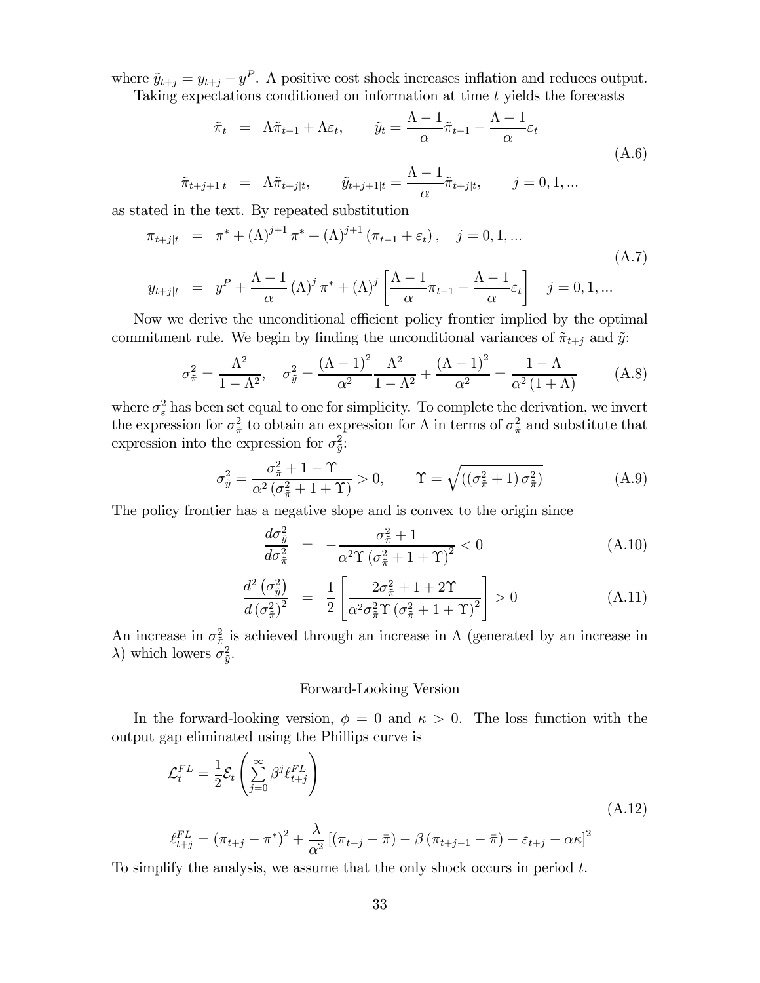where  $\tilde{y}_{t+j} = y_{t+j} - y^P$ . A positive cost shock increases inflation and reduces output. Taking expectations conditioned on information at time t yields the forecasts

$$
\tilde{\pi}_t = \Lambda \tilde{\pi}_{t-1} + \Lambda \varepsilon_t, \qquad \tilde{y}_t = \frac{\Lambda - 1}{\alpha} \tilde{\pi}_{t-1} - \frac{\Lambda - 1}{\alpha} \varepsilon_t
$$
\n
$$
\tilde{\pi}_{t+j+1|t} = \Lambda \tilde{\pi}_{t+j|t}, \qquad \tilde{y}_{t+j+1|t} = \frac{\Lambda - 1}{\alpha} \tilde{\pi}_{t+j|t}, \qquad j = 0, 1, \dots
$$
\n(A.6)

as stated in the text. By repeated substitution

$$
\pi_{t+j|t} = \pi^* + (\Lambda)^{j+1} \pi^* + (\Lambda)^{j+1} (\pi_{t-1} + \varepsilon_t), \quad j = 0, 1, ...
$$
\n(A.7)

$$
y_{t+j|t} = y^P + \frac{\Lambda - 1}{\alpha} (\Lambda)^j \pi^* + (\Lambda)^j \left[ \frac{\Lambda - 1}{\alpha} \pi_{t-1} - \frac{\Lambda - 1}{\alpha} \varepsilon_t \right] \quad j = 0, 1, \dots
$$

Now we derive the unconditional efficient policy frontier implied by the optimal commitment rule. We begin by finding the unconditional variances of  $\tilde{\pi}_{t+j}$  and  $\tilde{y}$ :

$$
\sigma_{\tilde{\pi}}^2 = \frac{\Lambda^2}{1 - \Lambda^2}, \quad \sigma_{\tilde{y}}^2 = \frac{(\Lambda - 1)^2}{\alpha^2} \frac{\Lambda^2}{1 - \Lambda^2} + \frac{(\Lambda - 1)^2}{\alpha^2} = \frac{1 - \Lambda}{\alpha^2 (1 + \Lambda)}
$$
(A.8)

where  $\sigma_{\varepsilon}^2$  has been set equal to one for simplicity. To complete the derivation, we invert the expression for  $\sigma_{\tilde{\pi}}^2$  to obtain an expression for  $\Lambda$  in terms of  $\sigma_{\tilde{\pi}}^2$  and substitute that expression into the expression for  $\sigma_{\tilde{y}}^2$ :

$$
\sigma_{\tilde{y}}^2 = \frac{\sigma_{\tilde{\pi}}^2 + 1 - \Upsilon}{\alpha^2 (\sigma_{\tilde{\pi}}^2 + 1 + \Upsilon)} > 0, \qquad \Upsilon = \sqrt{((\sigma_{\tilde{\pi}}^2 + 1) \sigma_{\tilde{\pi}}^2)}
$$
(A.9)

The policy frontier has a negative slope and is convex to the origin since

$$
\frac{d\sigma_{\tilde{y}}^2}{d\sigma_{\tilde{\pi}}^2} = -\frac{\sigma_{\tilde{\pi}}^2 + 1}{\alpha^2 \Upsilon \left(\sigma_{\tilde{\pi}}^2 + 1 + \Upsilon\right)^2} < 0 \tag{A.10}
$$

$$
\frac{d^2\left(\sigma_{\tilde{y}}^2\right)}{d\left(\sigma_{\tilde{\pi}}^2\right)^2} = \frac{1}{2} \left[ \frac{2\sigma_{\tilde{\pi}}^2 + 1 + 2\Upsilon}{\alpha^2 \sigma_{\tilde{\pi}}^2 \Upsilon \left(\sigma_{\tilde{\pi}}^2 + 1 + \Upsilon\right)^2} \right] > 0 \tag{A.11}
$$

An increase in  $\sigma_{\tilde{\pi}}^2$  is achieved through an increase in  $\Lambda$  (generated by an increase in  $\lambda$ ) which lowers  $\sigma_{\tilde{y}}^2$ .

#### Forward-Looking Version

In the forward-looking version,  $\phi = 0$  and  $\kappa > 0$ . The loss function with the output gap eliminated using the Phillips curve is

$$
\mathcal{L}_t^{FL} = \frac{1}{2} \mathcal{E}_t \left( \sum_{j=0}^{\infty} \beta^j \ell_{t+j}^{FL} \right)
$$
\n
$$
\ell_{t+j}^{FL} = (\pi_{t+j} - \pi^*)^2 + \frac{\lambda}{\alpha^2} \left[ (\pi_{t+j} - \bar{\pi}) - \beta (\pi_{t+j-1} - \bar{\pi}) - \varepsilon_{t+j} - \alpha \kappa \right]^2
$$
\n(A.12)

To simplify the analysis, we assume that the only shock occurs in period  $t$ .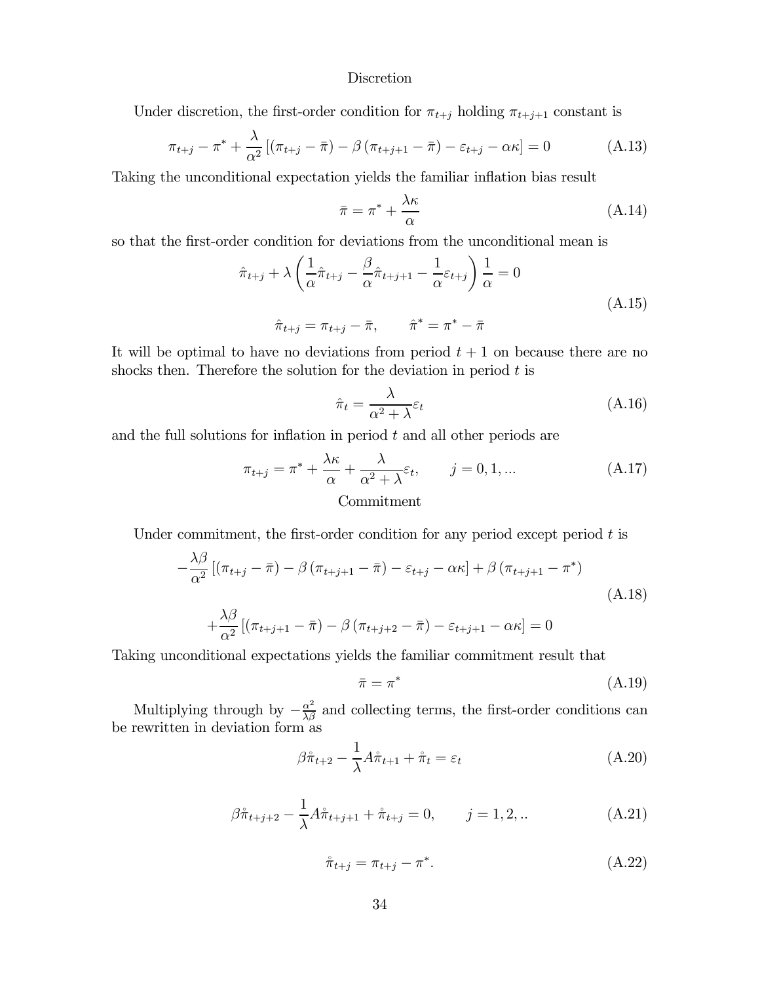#### Discretion

Under discretion, the first-order condition for  $\pi_{t+j}$  holding  $\pi_{t+j+1}$  constant is

$$
\pi_{t+j} - \pi^* + \frac{\lambda}{\alpha^2} \left[ (\pi_{t+j} - \bar{\pi}) - \beta (\pi_{t+j+1} - \bar{\pi}) - \varepsilon_{t+j} - \alpha \kappa \right] = 0 \tag{A.13}
$$

Taking the unconditional expectation yields the familiar inflation bias result

$$
\bar{\pi} = \pi^* + \frac{\lambda \kappa}{\alpha} \tag{A.14}
$$

so that the first-order condition for deviations from the unconditional mean is

$$
\hat{\pi}_{t+j} + \lambda \left( \frac{1}{\alpha} \hat{\pi}_{t+j} - \frac{\beta}{\alpha} \hat{\pi}_{t+j+1} - \frac{1}{\alpha} \varepsilon_{t+j} \right) \frac{1}{\alpha} = 0
$$
\n
$$
\hat{\pi}_{t+j} = \pi_{t+j} - \bar{\pi}, \qquad \hat{\pi}^* = \pi^* - \bar{\pi}
$$
\n(A.15)

It will be optimal to have no deviations from period  $t + 1$  on because there are no shocks then. Therefore the solution for the deviation in period  $t$  is

$$
\hat{\pi}_t = \frac{\lambda}{\alpha^2 + \lambda} \varepsilon_t \tag{A.16}
$$

and the full solutions for inflation in period  $t$  and all other periods are

$$
\pi_{t+j} = \pi^* + \frac{\lambda \kappa}{\alpha} + \frac{\lambda}{\alpha^2 + \lambda} \varepsilon_t, \qquad j = 0, 1, ...
$$
\nCommitment

\n
$$
\text{Commitment}
$$
\n
$$
(A.17)
$$

Under commitment, the first-order condition for any period except period  $t$  is

$$
-\frac{\lambda\beta}{\alpha^2} \left[ \left(\pi_{t+j} - \bar{\pi}\right) - \beta \left(\pi_{t+j+1} - \bar{\pi}\right) - \varepsilon_{t+j} - \alpha\kappa \right] + \beta \left(\pi_{t+j+1} - \pi^*\right)
$$
\n
$$
+\frac{\lambda\beta}{\alpha^2} \left[ \left(\pi_{t+j+1} - \bar{\pi}\right) - \beta \left(\pi_{t+j+2} - \bar{\pi}\right) - \varepsilon_{t+j+1} - \alpha\kappa \right] = 0
$$
\n(A.18)

Taking unconditional expectations yields the familiar commitment result that

$$
\bar{\pi} = \pi^* \tag{A.19}
$$

Multiplying through by  $-\frac{\alpha^2}{\lambda \beta}$  and collecting terms, the first-order conditions can be rewritten in deviation form as

$$
\beta \hat{\pi}_{t+2} - \frac{1}{\lambda} A \hat{\pi}_{t+1} + \hat{\pi}_t = \varepsilon_t \tag{A.20}
$$

$$
\beta \hat{\pi}_{t+j+2} - \frac{1}{\lambda} A \hat{\pi}_{t+j+1} + \hat{\pi}_{t+j} = 0, \qquad j = 1, 2, ... \tag{A.21}
$$

$$
\hat{\pi}_{t+j} = \pi_{t+j} - \pi^*.
$$
\n(A.22)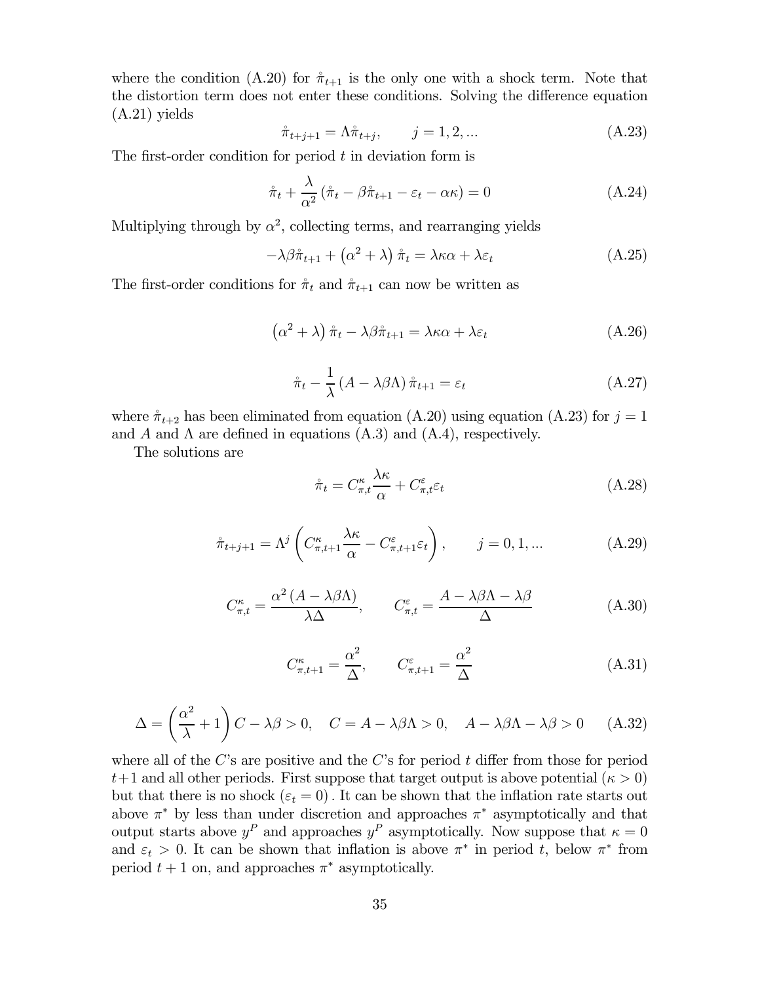where the condition (A.20) for  $\hat{\pi}_{t+1}$  is the only one with a shock term. Note that the distortion term does not enter these conditions. Solving the difference equation (A.21) yields

$$
\mathring{\pi}_{t+j+1} = \Lambda \mathring{\pi}_{t+j}, \qquad j = 1, 2, \dots
$$
\n(A.23)

The first-order condition for period  $t$  in deviation form is

$$
\hat{\pi}_t + \frac{\lambda}{\alpha^2} \left( \hat{\pi}_t - \beta \hat{\pi}_{t+1} - \varepsilon_t - \alpha \kappa \right) = 0 \tag{A.24}
$$

Multiplying through by  $\alpha^2$ , collecting terms, and rearranging yields

$$
-\lambda\beta\hat{\pi}_{t+1} + (\alpha^2 + \lambda)\hat{\pi}_t = \lambda\kappa\alpha + \lambda\varepsilon_t
$$
 (A.25)

The first-order conditions for  $\pi_t$  and  $\pi_{t+1}$  can now be written as

$$
\left(\alpha^2 + \lambda\right)\hat{\pi}_t - \lambda\beta\hat{\pi}_{t+1} = \lambda\kappa\alpha + \lambda\varepsilon_t
$$
\n(A.26)

$$
\mathring{\pi}_t - \frac{1}{\lambda} \left( A - \lambda \beta \Lambda \right) \mathring{\pi}_{t+1} = \varepsilon_t \tag{A.27}
$$

where  $\hat{\pi}_{t+2}$  has been eliminated from equation (A.20) using equation (A.23) for  $j = 1$ and A and  $\Lambda$  are defined in equations (A.3) and (A.4), respectively.

The solutions are

$$
\hat{\pi}_t = C^{\kappa}_{\pi,t} \frac{\lambda \kappa}{\alpha} + C^{\varepsilon}_{\pi,t} \varepsilon_t \tag{A.28}
$$

$$
\mathring{\pi}_{t+j+1} = \Lambda^j \left( C_{\pi,t+1}^{\kappa} \frac{\lambda \kappa}{\alpha} - C_{\pi,t+1}^{\varepsilon} \varepsilon_t \right), \qquad j = 0, 1, \dots \tag{A.29}
$$

$$
C_{\pi,t}^{\kappa} = \frac{\alpha^2 (A - \lambda \beta \Lambda)}{\lambda \Delta}, \qquad C_{\pi,t}^{\varepsilon} = \frac{A - \lambda \beta \Lambda - \lambda \beta}{\Delta}
$$
 (A.30)

$$
C_{\pi,t+1}^{\kappa} = \frac{\alpha^2}{\Delta}, \qquad C_{\pi,t+1}^{\varepsilon} = \frac{\alpha^2}{\Delta}
$$
 (A.31)

$$
\Delta = \left(\frac{\alpha^2}{\lambda} + 1\right)C - \lambda\beta > 0, \quad C = A - \lambda\beta\Lambda > 0, \quad A - \lambda\beta\Lambda - \lambda\beta > 0 \tag{A.32}
$$

where all of the C's are positive and the C's for period  $t$  differ from those for period  $t+1$  and all other periods. First suppose that target output is above potential  $(\kappa > 0)$ but that there is no shock  $(\varepsilon_t = 0)$ . It can be shown that the inflation rate starts out above  $\pi^*$  by less than under discretion and approaches  $\pi^*$  asymptotically and that output starts above  $y^P$  and approaches  $y^P$  asymptotically. Now suppose that  $\kappa = 0$ and  $\varepsilon_t > 0$ . It can be shown that inflation is above  $\pi^*$  in period t, below  $\pi^*$  from period  $t + 1$  on, and approaches  $\pi^*$  asymptotically.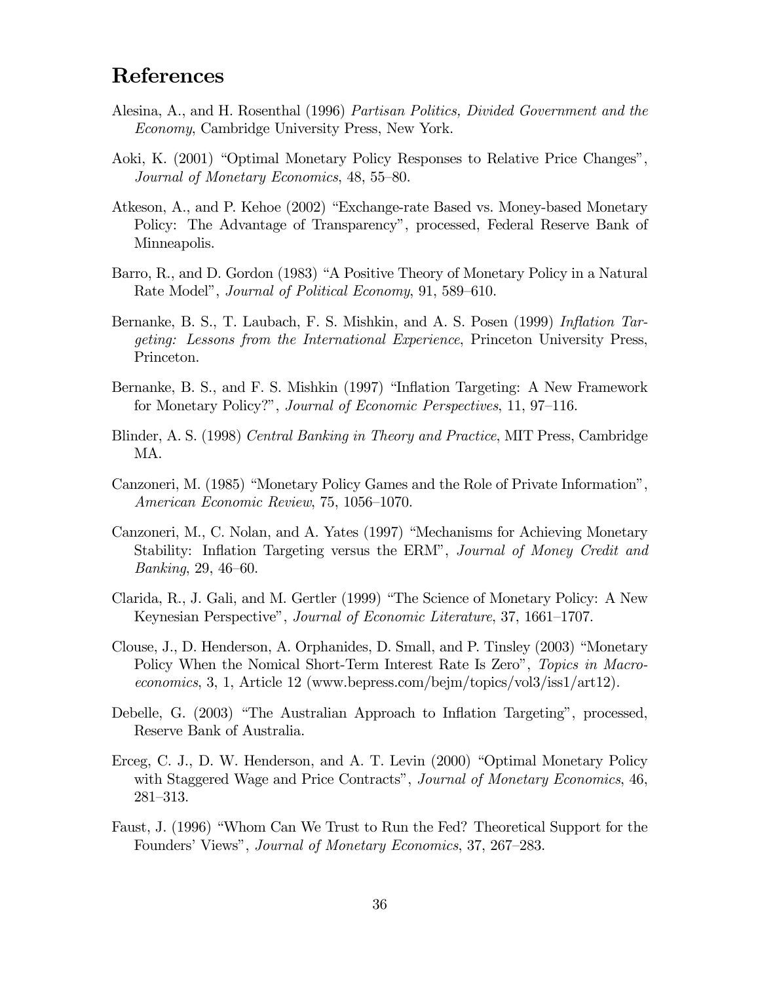# References

- Alesina, A., and H. Rosenthal (1996) Partisan Politics, Divided Government and the Economy, Cambridge University Press, New York.
- Aoki, K. (2001) "Optimal Monetary Policy Responses to Relative Price Changes", Journal of Monetary Economics, 48, 55—80.
- Atkeson, A., and P. Kehoe (2002) "Exchange-rate Based vs. Money-based Monetary Policy: The Advantage of Transparency", processed, Federal Reserve Bank of Minneapolis.
- Barro, R., and D. Gordon (1983) "A Positive Theory of Monetary Policy in a Natural Rate Model", Journal of Political Economy, 91, 589—610.
- Bernanke, B. S., T. Laubach, F. S. Mishkin, and A. S. Posen (1999) *Inflation Tar*geting: Lessons from the International Experience, Princeton University Press, Princeton.
- Bernanke, B. S., and F. S. Mishkin (1997) "Inflation Targeting: A New Framework for Monetary Policy?", Journal of Economic Perspectives, 11, 97—116.
- Blinder, A. S. (1998) Central Banking in Theory and Practice, MIT Press, Cambridge MA.
- Canzoneri, M. (1985) "Monetary Policy Games and the Role of Private Information", American Economic Review, 75, 1056—1070.
- Canzoneri, M., C. Nolan, and A. Yates (1997) "Mechanisms for Achieving Monetary Stability: Inflation Targeting versus the ERM", Journal of Money Credit and Banking, 29, 46—60.
- Clarida, R., J. Gali, and M. Gertler (1999) "The Science of Monetary Policy: A New Keynesian Perspective", Journal of Economic Literature, 37, 1661—1707.
- Clouse, J., D. Henderson, A. Orphanides, D. Small, and P. Tinsley (2003) "Monetary Policy When the Nomical Short-Term Interest Rate Is Zero", Topics in Macroeconomics, 3, 1, Article 12 (www.bepress.com/bejm/topics/vol3/iss1/art12).
- Debelle, G. (2003) "The Australian Approach to Inflation Targeting", processed, Reserve Bank of Australia.
- Erceg, C. J., D. W. Henderson, and A. T. Levin (2000) "Optimal Monetary Policy with Staggered Wage and Price Contracts", Journal of Monetary Economics, 46, 281—313.
- Faust, J. (1996) "Whom Can We Trust to Run the Fed? Theoretical Support for the Founders' Views", Journal of Monetary Economics, 37, 267—283.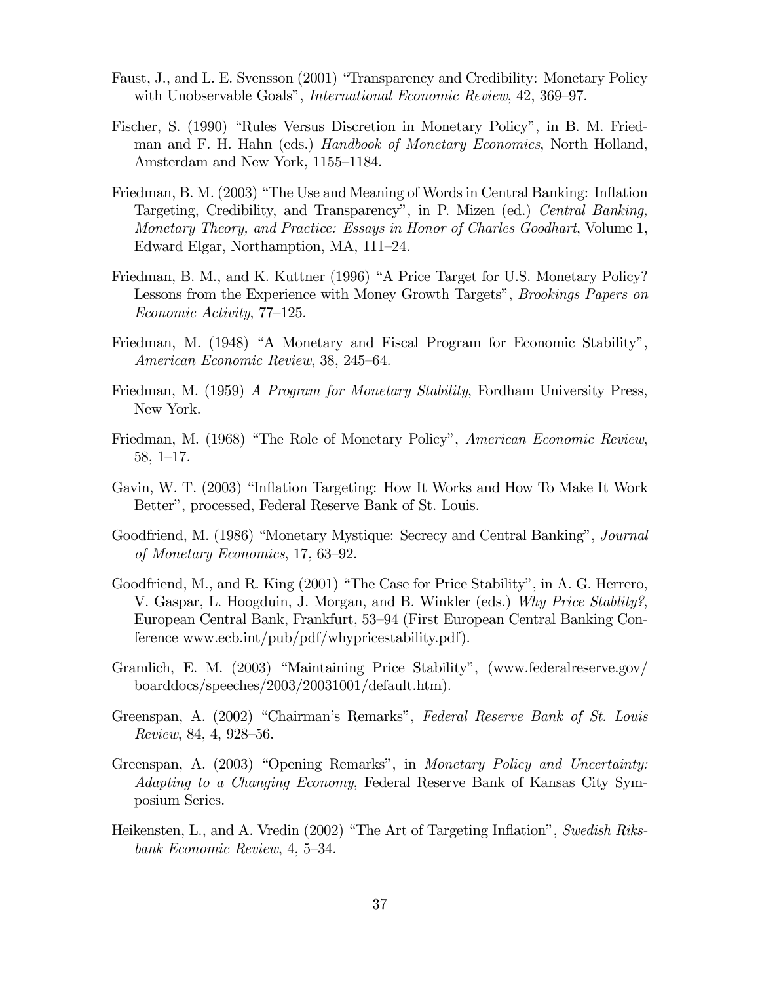- Faust, J., and L. E. Svensson (2001) "Transparency and Credibility: Monetary Policy with Unobservable Goals", International Economic Review, 42, 369—97.
- Fischer, S. (1990) "Rules Versus Discretion in Monetary Policy", in B. M. Friedman and F. H. Hahn (eds.) Handbook of Monetary Economics, North Holland, Amsterdam and New York, 1155—1184.
- Friedman, B. M. (2003) "The Use and Meaning of Words in Central Banking: Inflation Targeting, Credibility, and Transparency", in P. Mizen (ed.) Central Banking, Monetary Theory, and Practice: Essays in Honor of Charles Goodhart, Volume 1, Edward Elgar, Northamption, MA, 111—24.
- Friedman, B. M., and K. Kuttner (1996) "A Price Target for U.S. Monetary Policy? Lessons from the Experience with Money Growth Targets", Brookings Papers on Economic Activity, 77—125.
- Friedman, M. (1948) "A Monetary and Fiscal Program for Economic Stability", American Economic Review, 38, 245—64.
- Friedman, M. (1959) A Program for Monetary Stability, Fordham University Press, New York.
- Friedman, M. (1968) "The Role of Monetary Policy", American Economic Review, 58, 1—17.
- Gavin, W. T. (2003) "Inflation Targeting: How It Works and How To Make It Work Better", processed, Federal Reserve Bank of St. Louis.
- Goodfriend, M. (1986) "Monetary Mystique: Secrecy and Central Banking", Journal of Monetary Economics, 17, 63—92.
- Goodfriend, M., and R. King (2001) "The Case for Price Stability", in A. G. Herrero, V. Gaspar, L. Hoogduin, J. Morgan, and B. Winkler (eds.) Why Price Stablity?, European Central Bank, Frankfurt, 53—94 (First European Central Banking Conference www.ecb.int/pub/pdf/whypricestability.pdf).
- Gramlich, E. M. (2003) "Maintaining Price Stability", (www.federalreserve.gov/ boarddocs/speeches/2003/20031001/default.htm).
- Greenspan, A. (2002) "Chairman's Remarks", Federal Reserve Bank of St. Louis Review, 84, 4, 928—56.
- Greenspan, A. (2003) "Opening Remarks", in Monetary Policy and Uncertainty: Adapting to a Changing Economy, Federal Reserve Bank of Kansas City Symposium Series.
- Heikensten, L., and A. Vredin (2002) "The Art of Targeting Inflation", Swedish Riksbank Economic Review, 4, 5—34.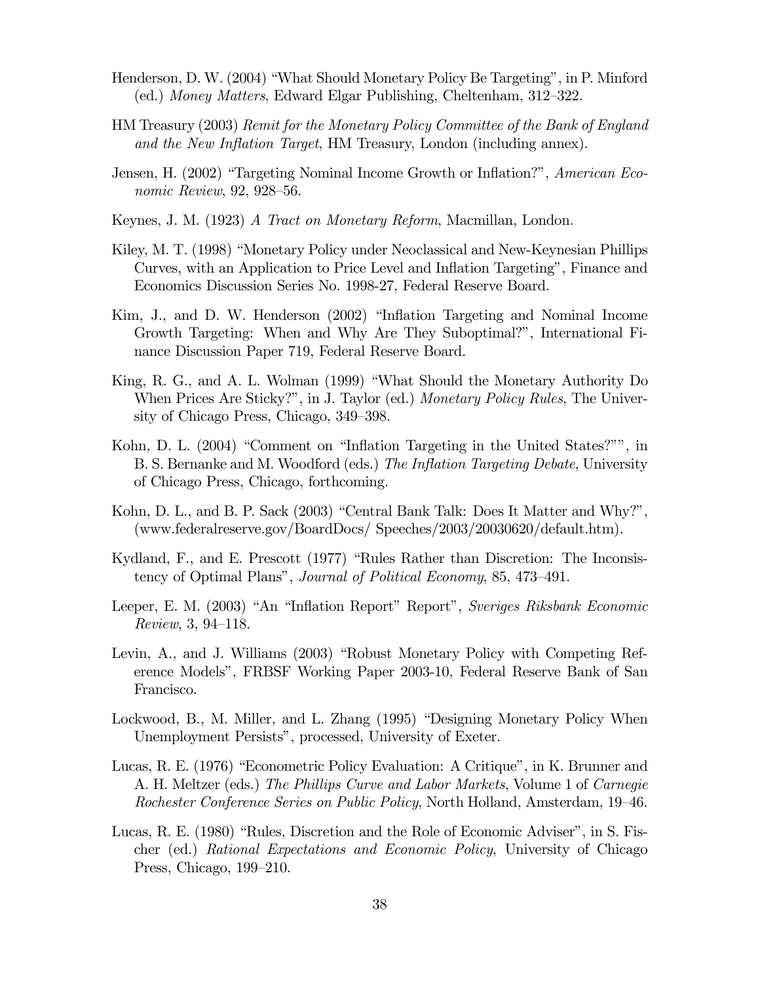- Henderson, D. W. (2004) "What Should Monetary Policy Be Targeting", in P. Minford (ed.) Money Matters, Edward Elgar Publishing, Cheltenham, 312—322.
- HM Treasury (2003) Remit for the Monetary Policy Committee of the Bank of England and the New Inflation Target, HM Treasury, London (including annex).
- Jensen, H. (2002) "Targeting Nominal Income Growth or Inflation?", American Economic Review, 92, 928—56.
- Keynes, J. M. (1923) A Tract on Monetary Reform, Macmillan, London.
- Kiley, M. T. (1998) "Monetary Policy under Neoclassical and New-Keynesian Phillips Curves, with an Application to Price Level and Inflation Targeting", Finance and Economics Discussion Series No. 1998-27, Federal Reserve Board.
- Kim, J., and D. W. Henderson (2002) "Inflation Targeting and Nominal Income Growth Targeting: When and Why Are They Suboptimal?", International Finance Discussion Paper 719, Federal Reserve Board.
- King, R. G., and A. L. Wolman (1999) "What Should the Monetary Authority Do When Prices Are Sticky?", in J. Taylor (ed.) Monetary Policy Rules, The University of Chicago Press, Chicago, 349—398.
- Kohn, D. L. (2004) "Comment on "Inflation Targeting in the United States?"", in B. S. Bernanke and M. Woodford (eds.) The Inflation Targeting Debate, University of Chicago Press, Chicago, forthcoming.
- Kohn, D. L., and B. P. Sack (2003) "Central Bank Talk: Does It Matter and Why?", (www.federalreserve.gov/BoardDocs/ Speeches/2003/20030620/default.htm).
- Kydland, F., and E. Prescott (1977) "Rules Rather than Discretion: The Inconsistency of Optimal Plans", Journal of Political Economy, 85, 473—491.
- Leeper, E. M. (2003) "An "Inflation Report" Report", Sveriges Riksbank Economic Review, 3, 94—118.
- Levin, A., and J. Williams (2003) "Robust Monetary Policy with Competing Reference Models", FRBSF Working Paper 2003-10, Federal Reserve Bank of San Francisco.
- Lockwood, B., M. Miller, and L. Zhang (1995) "Designing Monetary Policy When Unemployment Persists", processed, University of Exeter.
- Lucas, R. E. (1976) "Econometric Policy Evaluation: A Critique", in K. Brunner and A. H. Meltzer (eds.) The Phillips Curve and Labor Markets, Volume 1 of Carnegie Rochester Conference Series on Public Policy, North Holland, Amsterdam, 19—46.
- Lucas, R. E. (1980) "Rules, Discretion and the Role of Economic Adviser", in S. Fischer (ed.) Rational Expectations and Economic Policy, University of Chicago Press, Chicago, 199—210.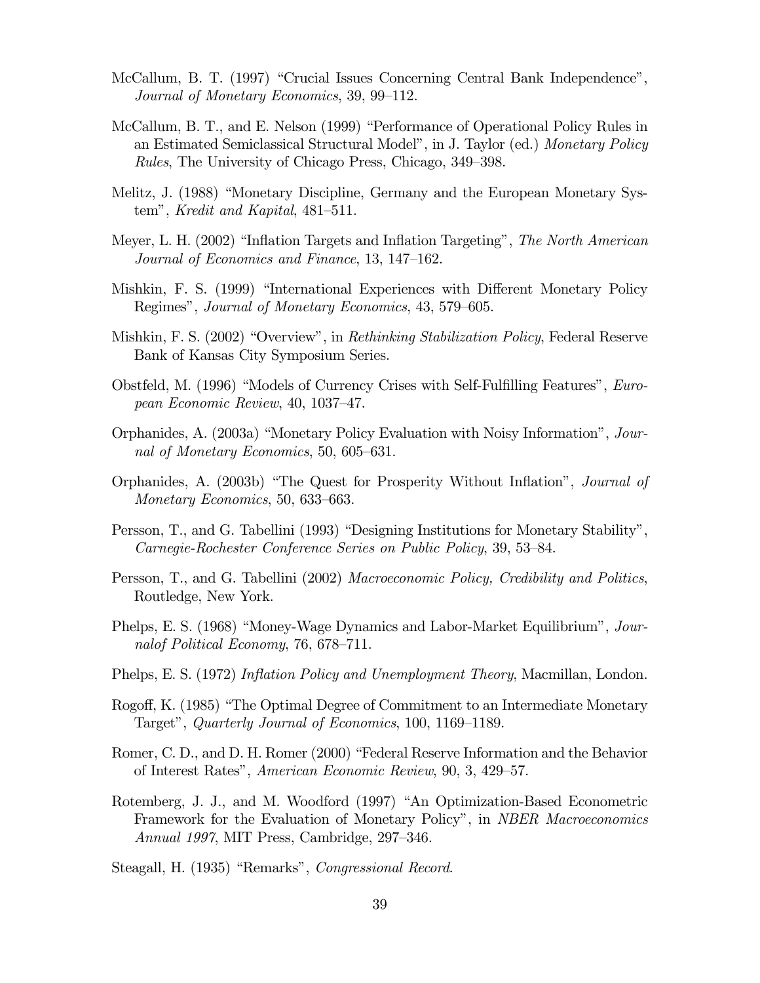- McCallum, B. T. (1997) "Crucial Issues Concerning Central Bank Independence", Journal of Monetary Economics, 39, 99—112.
- McCallum, B. T., and E. Nelson (1999) "Performance of Operational Policy Rules in an Estimated Semiclassical Structural Model", in J. Taylor (ed.) Monetary Policy Rules, The University of Chicago Press, Chicago, 349—398.
- Melitz, J. (1988) "Monetary Discipline, Germany and the European Monetary System", Kredit and Kapital, 481—511.
- Meyer, L. H. (2002) "Inflation Targets and Inflation Targeting", The North American Journal of Economics and Finance, 13, 147—162.
- Mishkin, F. S. (1999) "International Experiences with Different Monetary Policy Regimes", Journal of Monetary Economics, 43, 579—605.
- Mishkin, F. S. (2002) "Overview", in *Rethinking Stabilization Policy*, Federal Reserve Bank of Kansas City Symposium Series.
- Obstfeld, M. (1996) "Models of Currency Crises with Self-Fulfilling Features", European Economic Review, 40, 1037—47.
- Orphanides, A. (2003a) "Monetary Policy Evaluation with Noisy Information", Journal of Monetary Economics, 50, 605—631.
- Orphanides, A. (2003b) "The Quest for Prosperity Without Inflation", Journal of Monetary Economics, 50, 633—663.
- Persson, T., and G. Tabellini (1993) "Designing Institutions for Monetary Stability", Carnegie-Rochester Conference Series on Public Policy, 39, 53—84.
- Persson, T., and G. Tabellini (2002) Macroeconomic Policy, Credibility and Politics, Routledge, New York.
- Phelps, E. S. (1968) "Money-Wage Dynamics and Labor-Market Equilibrium", Journalof Political Economy, 76, 678—711.
- Phelps, E. S. (1972) Inflation Policy and Unemployment Theory, Macmillan, London.
- Rogoff, K. (1985) "The Optimal Degree of Commitment to an Intermediate Monetary Target", Quarterly Journal of Economics, 100, 1169—1189.
- Romer, C. D., and D. H. Romer (2000) "Federal Reserve Information and the Behavior of Interest Rates", American Economic Review, 90, 3, 429—57.
- Rotemberg, J. J., and M. Woodford (1997) "An Optimization-Based Econometric Framework for the Evaluation of Monetary Policy", in NBER Macroeconomics Annual 1997, MIT Press, Cambridge, 297—346.

Steagall, H. (1935) "Remarks", Congressional Record.